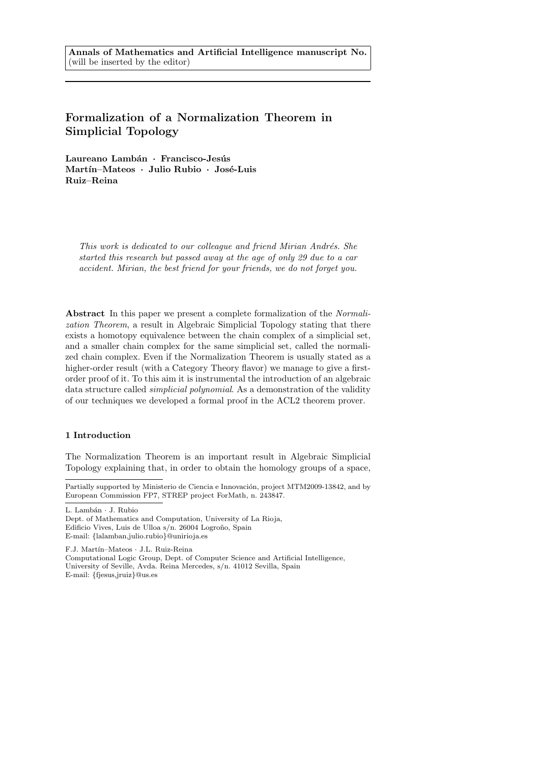# Formalization of a Normalization Theorem in Simplicial Topology

Laureano Lambán · Francisco-Jesús  $Martín-Mateos + Julio Rubio + José-Luis$ Ruiz–Reina

This work is dedicated to our colleague and friend Mirian Andrés. She started this research but passed away at the age of only 29 due to a car accident. Mirian, the best friend for your friends, we do not forget you.

Abstract In this paper we present a complete formalization of the Normalization Theorem, a result in Algebraic Simplicial Topology stating that there exists a homotopy equivalence between the chain complex of a simplicial set, and a smaller chain complex for the same simplicial set, called the normalized chain complex. Even if the Normalization Theorem is usually stated as a higher-order result (with a Category Theory flavor) we manage to give a firstorder proof of it. To this aim it is instrumental the introduction of an algebraic data structure called simplicial polynomial. As a demonstration of the validity of our techniques we developed a formal proof in the ACL2 theorem prover.

## 1 Introduction

The Normalization Theorem is an important result in Algebraic Simplicial Topology explaining that, in order to obtain the homology groups of a space,

L. Lambán · J. Rubio

 $\operatorname{F.J.}$  Martín–Mateos  $\cdot$  J.L. Ruiz-Reina

Computational Logic Group, Dept. of Computer Science and Artificial Intelligence, University of Seville, Avda. Reina Mercedes, s/n. 41012 Sevilla, Spain E-mail: {fjesus,jruiz}@us.es

Partially supported by Ministerio de Ciencia e Innovación, project MTM2009-13842, and by European Commission FP7, STREP project ForMath, n. 243847.

Dept. of Mathematics and Computation, University of La Rioja, Edificio Vives, Luis de Ulloa s/n. 26004 Logroño, Spain E-mail: {lalamban,julio.rubio}@unirioja.es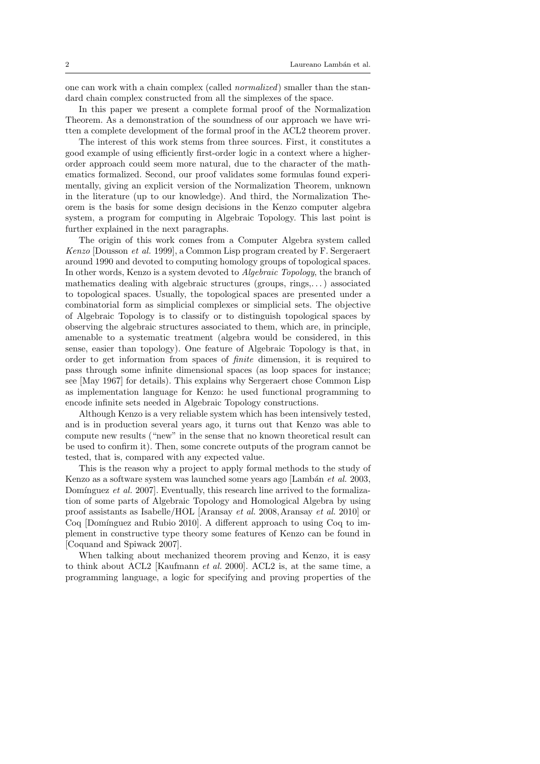one can work with a chain complex (called normalized) smaller than the standard chain complex constructed from all the simplexes of the space.

In this paper we present a complete formal proof of the Normalization Theorem. As a demonstration of the soundness of our approach we have written a complete development of the formal proof in the ACL2 theorem prover.

The interest of this work stems from three sources. First, it constitutes a good example of using efficiently first-order logic in a context where a higherorder approach could seem more natural, due to the character of the mathematics formalized. Second, our proof validates some formulas found experimentally, giving an explicit version of the Normalization Theorem, unknown in the literature (up to our knowledge). And third, the Normalization Theorem is the basis for some design decisions in the Kenzo computer algebra system, a program for computing in Algebraic Topology. This last point is further explained in the next paragraphs.

The origin of this work comes from a Computer Algebra system called Kenzo [Dousson et al. 1999], a Common Lisp program created by F. Sergeraert around 1990 and devoted to computing homology groups of topological spaces. In other words, Kenzo is a system devoted to Algebraic Topology, the branch of mathematics dealing with algebraic structures (groups, rings,. . . ) associated to topological spaces. Usually, the topological spaces are presented under a combinatorial form as simplicial complexes or simplicial sets. The objective of Algebraic Topology is to classify or to distinguish topological spaces by observing the algebraic structures associated to them, which are, in principle, amenable to a systematic treatment (algebra would be considered, in this sense, easier than topology). One feature of Algebraic Topology is that, in order to get information from spaces of finite dimension, it is required to pass through some infinite dimensional spaces (as loop spaces for instance; see [May 1967] for details). This explains why Sergeraert chose Common Lisp as implementation language for Kenzo: he used functional programming to encode infinite sets needed in Algebraic Topology constructions.

Although Kenzo is a very reliable system which has been intensively tested, and is in production several years ago, it turns out that Kenzo was able to compute new results ("new" in the sense that no known theoretical result can be used to confirm it). Then, some concrete outputs of the program cannot be tested, that is, compared with any expected value.

This is the reason why a project to apply formal methods to the study of Kenzo as a software system was launched some years ago [Lambán et al. 2003, Domínguez et al. 2007]. Eventually, this research line arrived to the formalization of some parts of Algebraic Topology and Homological Algebra by using proof assistants as Isabelle/HOL [Aransay et al. 2008,Aransay et al. 2010] or Coq [Domínguez and Rubio 2010]. A different approach to using Coq to implement in constructive type theory some features of Kenzo can be found in [Coquand and Spiwack 2007].

When talking about mechanized theorem proving and Kenzo, it is easy to think about ACL2 [Kaufmann et al. 2000]. ACL2 is, at the same time, a programming language, a logic for specifying and proving properties of the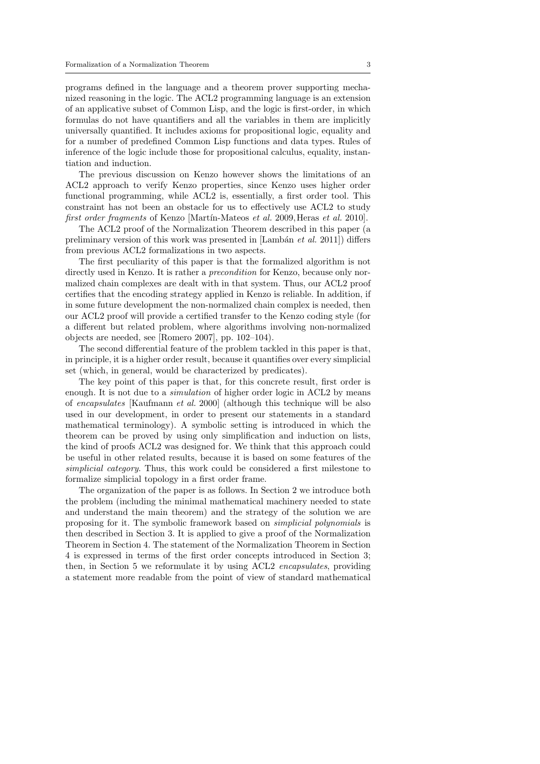programs defined in the language and a theorem prover supporting mechanized reasoning in the logic. The ACL2 programming language is an extension of an applicative subset of Common Lisp, and the logic is first-order, in which formulas do not have quantifiers and all the variables in them are implicitly universally quantified. It includes axioms for propositional logic, equality and for a number of predefined Common Lisp functions and data types. Rules of inference of the logic include those for propositional calculus, equality, instantiation and induction.

The previous discussion on Kenzo however shows the limitations of an ACL2 approach to verify Kenzo properties, since Kenzo uses higher order functional programming, while ACL2 is, essentially, a first order tool. This constraint has not been an obstacle for us to effectively use ACL2 to study first order fragments of Kenzo [Martín-Mateos *et al.* 2009, Heras *et al.* 2010].

The ACL2 proof of the Normalization Theorem described in this paper (a preliminary version of this work was presented in  $\text{Lambán } et \text{ al. } 2011$ . from previous ACL2 formalizations in two aspects.

The first peculiarity of this paper is that the formalized algorithm is not directly used in Kenzo. It is rather a *precondition* for Kenzo, because only normalized chain complexes are dealt with in that system. Thus, our ACL2 proof certifies that the encoding strategy applied in Kenzo is reliable. In addition, if in some future development the non-normalized chain complex is needed, then our ACL2 proof will provide a certified transfer to the Kenzo coding style (for a different but related problem, where algorithms involving non-normalized objects are needed, see [Romero 2007], pp. 102–104).

The second differential feature of the problem tackled in this paper is that, in principle, it is a higher order result, because it quantifies over every simplicial set (which, in general, would be characterized by predicates).

The key point of this paper is that, for this concrete result, first order is enough. It is not due to a *simulation* of higher order logic in ACL2 by means of encapsulates [Kaufmann et al. 2000] (although this technique will be also used in our development, in order to present our statements in a standard mathematical terminology). A symbolic setting is introduced in which the theorem can be proved by using only simplification and induction on lists, the kind of proofs ACL2 was designed for. We think that this approach could be useful in other related results, because it is based on some features of the simplicial category. Thus, this work could be considered a first milestone to formalize simplicial topology in a first order frame.

The organization of the paper is as follows. In Section 2 we introduce both the problem (including the minimal mathematical machinery needed to state and understand the main theorem) and the strategy of the solution we are proposing for it. The symbolic framework based on simplicial polynomials is then described in Section 3. It is applied to give a proof of the Normalization Theorem in Section 4. The statement of the Normalization Theorem in Section 4 is expressed in terms of the first order concepts introduced in Section 3; then, in Section 5 we reformulate it by using ACL2 encapsulates, providing a statement more readable from the point of view of standard mathematical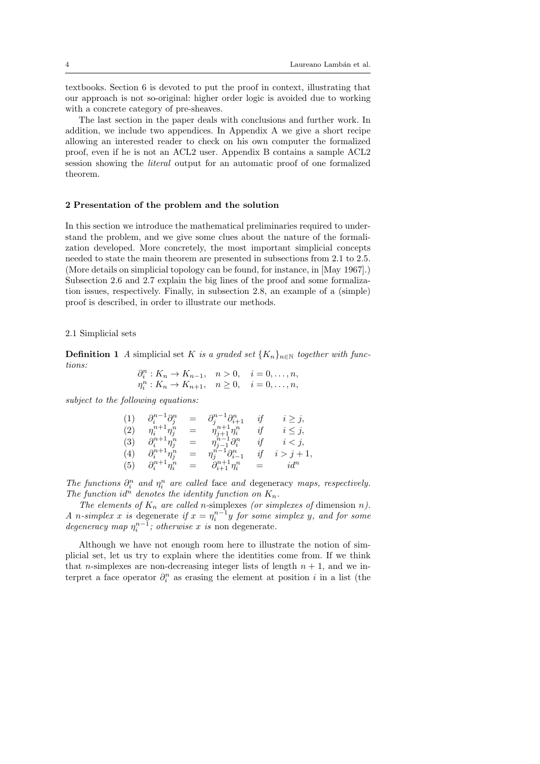textbooks. Section 6 is devoted to put the proof in context, illustrating that our approach is not so-original: higher order logic is avoided due to working with a concrete category of pre-sheaves.

The last section in the paper deals with conclusions and further work. In addition, we include two appendices. In Appendix A we give a short recipe allowing an interested reader to check on his own computer the formalized proof, even if he is not an ACL2 user. Appendix B contains a sample ACL2 session showing the literal output for an automatic proof of one formalized theorem.

#### 2 Presentation of the problem and the solution

In this section we introduce the mathematical preliminaries required to understand the problem, and we give some clues about the nature of the formalization developed. More concretely, the most important simplicial concepts needed to state the main theorem are presented in subsections from 2.1 to 2.5. (More details on simplicial topology can be found, for instance, in [May 1967].) Subsection 2.6 and 2.7 explain the big lines of the proof and some formalization issues, respectively. Finally, in subsection 2.8, an example of a (simple) proof is described, in order to illustrate our methods.

## 2.1 Simplicial sets

**Definition 1** A simplicial set K is a graded set  $\{K_n\}_{n\in\mathbb{N}}$  together with functions:

$$
\partial_i^n : K_n \to K_{n-1}, \quad n > 0, \quad i = 0, \dots, n, \n\eta_i^n : K_n \to K_{n+1}, \quad n \ge 0, \quad i = 0, \dots, n,
$$

subject to the following equations:

$$
(1) \quad \partial_i^{n-1} \partial_j^n = \partial_j^{n-1} \partial_{i+1}^n \quad \text{if} \quad i \geq j,
$$
  
\n
$$
(2) \quad \eta_i^{n+1} \eta_j^n = \eta_{j+1}^{n+1} \eta_i^n \quad \text{if} \quad i \leq j,
$$
  
\n
$$
(3) \quad \partial_i^{n+1} \eta_j^n = \eta_{j-1}^{n-1} \partial_i^n \quad \text{if} \quad i < j,
$$
  
\n
$$
(4) \quad \partial_i^{n+1} \eta_j^n = \eta_j^{n-1} \partial_{i-1}^n \quad \text{if} \quad i > j+1,
$$
  
\n
$$
(5) \quad \partial_i^{n+1} \eta_i^n = \partial_{i+1}^{n+1} \eta_i^n = id^n
$$

The functions  $\partial_i^n$  and  $\eta_i^n$  are called face and degeneracy maps, respectively. The function id<sup>n</sup> denotes the identity function on  $K_n$ .

The elements of  $K_n$  are called n-simplexes (or simplexes of dimension n). A n-simplex x is degenerate if  $x = \eta_i^{n-1}y$  for some simplex y, and for some degeneracy map  $\eta_i^{n-1}$ ; otherwise x is non degenerate.

Although we have not enough room here to illustrate the notion of simplicial set, let us try to explain where the identities come from. If we think that *n*-simplexes are non-decreasing integer lists of length  $n + 1$ , and we interpret a face operator  $\partial_i^n$  as erasing the element at position i in a list (the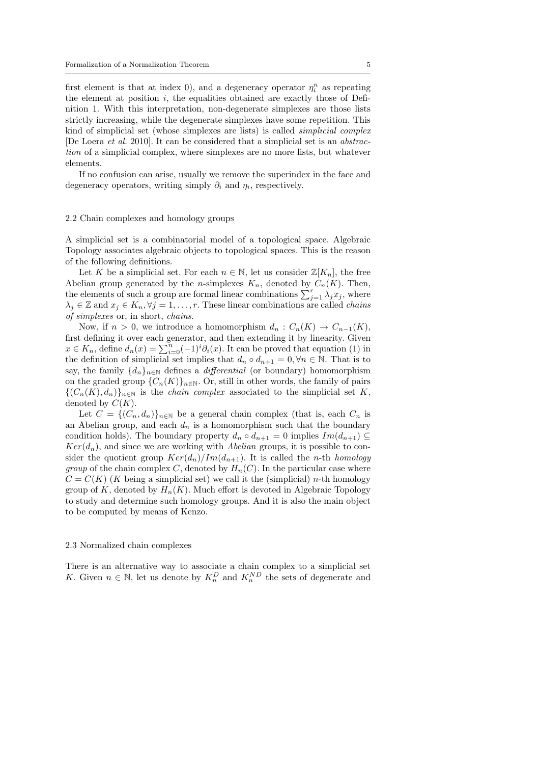first element is that at index 0), and a degeneracy operator  $\eta_i^n$  as repeating the element at position  $i$ , the equalities obtained are exactly those of Definition 1. With this interpretation, non-degenerate simplexes are those lists strictly increasing, while the degenerate simplexes have some repetition. This kind of simplicial set (whose simplexes are lists) is called simplicial complex [De Loera et al. 2010]. It can be considered that a simplicial set is an abstraction of a simplicial complex, where simplexes are no more lists, but whatever elements.

If no confusion can arise, usually we remove the superindex in the face and degeneracy operators, writing simply  $\partial_i$  and  $\eta_i$ , respectively.

### 2.2 Chain complexes and homology groups

A simplicial set is a combinatorial model of a topological space. Algebraic Topology associates algebraic objects to topological spaces. This is the reason of the following definitions.

Let K be a simplicial set. For each  $n \in \mathbb{N}$ , let us consider  $\mathbb{Z}[K_n]$ , the free Abelian group generated by the *n*-simplexes  $K_n$ , denoted by  $C_n(K)$ . Then, the elements of such a group are formal linear combinations  $\sum_{j=1}^{r} \lambda_j x_j$ , where  $\lambda_j \in \mathbb{Z}$  and  $x_j \in K_n, \forall j = 1, \ldots, r$ . These linear combinations are called *chains* of simplexes or, in short, chains.

Now, if  $n > 0$ , we introduce a homomorphism  $d_n : C_n(K) \to C_{n-1}(K)$ , first defining it over each generator, and then extending it by linearity. Given  $x \in K_n$ , define  $d_n(x) = \sum_{i=0}^n (-1)^i \partial_i(x)$ . It can be proved that equation (1) in the definition of simplicial set implies that  $d_n \circ d_{n+1} = 0, \forall n \in \mathbb{N}$ . That is to say, the family  ${d_n}_{n\in\mathbb{N}}$  defines a *differential* (or boundary) homomorphism on the graded group  $\{C_n(K)\}_{n\in\mathbb{N}}$ . Or, still in other words, the family of pairs  ${ (C_n(K), d_n)_{n \in \mathbb{N}} }$  is the *chain complex* associated to the simplicial set K, denoted by  $C(K)$ .

Let  $C = \{ (C_n, d_n) \}_{n \in \mathbb{N}}$  be a general chain complex (that is, each  $C_n$  is an Abelian group, and each  $d_n$  is a homomorphism such that the boundary condition holds). The boundary property  $d_n \circ d_{n+1} = 0$  implies  $Im(d_{n+1}) \subseteq$  $Ker(d_n)$ , and since we are working with Abelian groups, it is possible to consider the quotient group  $Ker(d_n)/Im(d_{n+1})$ . It is called the *n*-th *homology group* of the chain complex C, denoted by  $H_n(C)$ . In the particular case where  $C = C(K)$  (K being a simplicial set) we call it the (simplicial) n-th homology group of K, denoted by  $H_n(K)$ . Much effort is devoted in Algebraic Topology to study and determine such homology groups. And it is also the main object to be computed by means of Kenzo.

#### 2.3 Normalized chain complexes

There is an alternative way to associate a chain complex to a simplicial set K. Given  $n \in \mathbb{N}$ , let us denote by  $K_n^D$  and  $K_n^{ND}$  the sets of degenerate and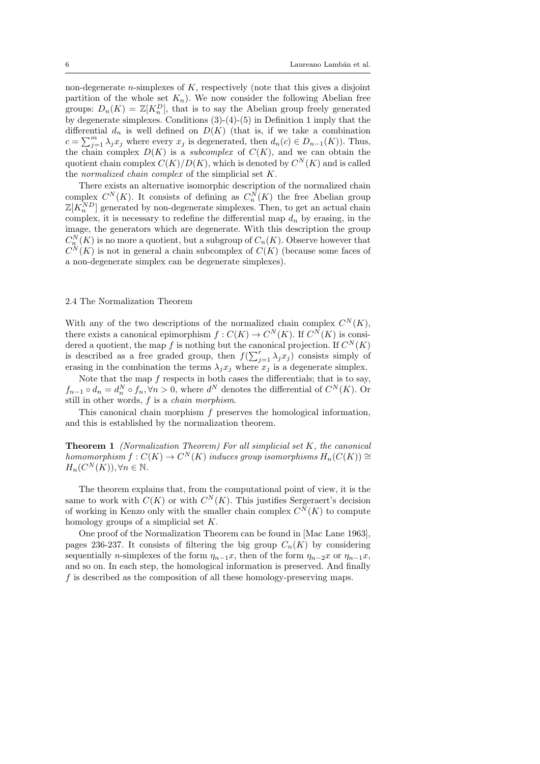non-degenerate *n*-simplexes of  $K$ , respectively (note that this gives a disjoint partition of the whole set  $K_n$ ). We now consider the following Abelian free groups:  $D_n(K) = \mathbb{Z}[K_n^D]$ , that is to say the Abelian group freely generated by degenerate simplexes. Conditions (3)-(4)-(5) in Definition 1 imply that the differential  $d_n$  is well defined on  $D(K)$  (that is, if we take a combination  $c = \sum_{j=1}^{m} \lambda_j x_j$  where every  $x_j$  is degenerated, then  $d_n(c) \in D_{n-1}(K)$ . Thus, the chain complex  $D(K)$  is a *subcomplex* of  $C(K)$ , and we can obtain the quotient chain complex  $C(K)/D(K)$ , which is denoted by  $C<sup>N</sup>(K)$  and is called the normalized chain complex of the simplicial set K.

There exists an alternative isomorphic description of the normalized chain complex  $C^N(K)$ . It consists of defining as  $C_n^N(K)$  the free Abelian group  $\mathbb{Z}[K_n^{ND}]$  generated by non-degenerate simplexes. Then, to get an actual chain complex, it is necessary to redefine the differential map  $d_n$  by erasing, in the image, the generators which are degenerate. With this description the group  $C_n^N(K)$  is no more a quotient, but a subgroup of  $C_n(K)$ . Observe however that  $C<sup>N</sup>(K)$  is not in general a chain subcomplex of  $C(K)$  (because some faces of a non-degenerate simplex can be degenerate simplexes).

### 2.4 The Normalization Theorem

With any of the two descriptions of the normalized chain complex  $C^N(K)$ , there exists a canonical epimorphism  $f: C(K) \to C<sup>N</sup>(K)$ . If  $C<sup>N</sup>(K)$  is considered a quotient, the map f is nothing but the canonical projection. If  $C^N(K)$ is described as a free graded group, then  $f(\sum_{j=1}^r \lambda_j x_j)$  consists simply of erasing in the combination the terms  $\lambda_j x_j$  where  $x_j$  is a degenerate simplex.

Note that the map  $f$  respects in both cases the differentials; that is to say,  $f_{n-1} \circ d_n = d_n^N \circ f_n, \forall n > 0$ , where  $d^N$  denotes the differential of  $C^N(K)$ . Or still in other words,  $f$  is a *chain morphism*.

This canonical chain morphism f preserves the homological information, and this is established by the normalization theorem.

Theorem 1 (Normalization Theorem) For all simplicial set K, the canonical  $homomorphism f : C(K) \to C<sup>N</sup>(K)$  induces group isomorphisms  $H_n(C(K)) \cong$  $H_n(C^N(K)), \forall n \in \mathbb{N}.$ 

The theorem explains that, from the computational point of view, it is the same to work with  $C(K)$  or with  $C^N(K)$ . This justifies Sergeraert's decision of working in Kenzo only with the smaller chain complex  $C^N(K)$  to compute homology groups of a simplicial set K.

One proof of the Normalization Theorem can be found in [Mac Lane 1963], pages 236-237. It consists of filtering the big group  $C_n(K)$  by considering sequentially *n*-simplexes of the form  $\eta_{n-1}x$ , then of the form  $\eta_{n-2}x$  or  $\eta_{n-1}x$ , and so on. In each step, the homological information is preserved. And finally f is described as the composition of all these homology-preserving maps.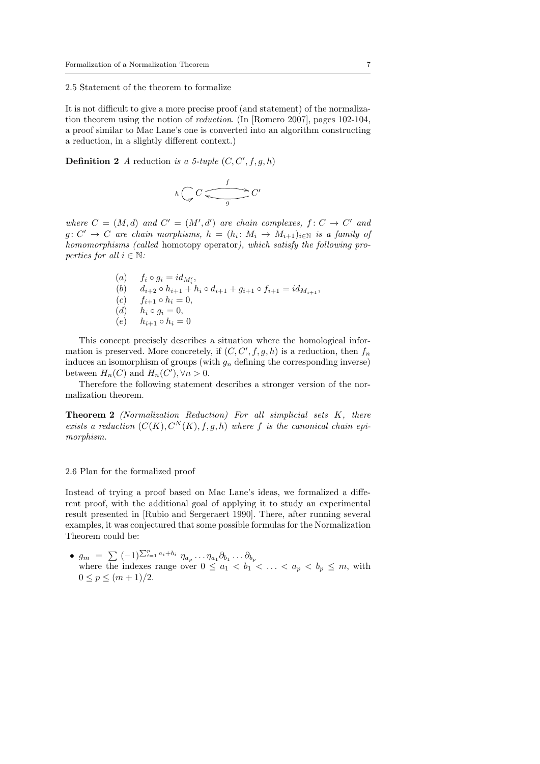2.5 Statement of the theorem to formalize

It is not difficult to give a more precise proof (and statement) of the normalization theorem using the notion of reduction. (In [Romero 2007], pages 102-104, a proof similar to Mac Lane's one is converted into an algorithm constructing a reduction, in a slightly different context.)

**Definition 2** A reduction is a 5-tuple  $(C, C', f, g, h)$ 

$$
h\bigcirc C \xleftarrow{f} C'
$$

where  $C = (M, d)$  and  $C' = (M', d')$  are chain complexes,  $f: C \to C'$  and  $g: C' \to C$  are chain morphisms,  $h = (h_i: M_i \to M_{i+1})_{i \in \mathbb{N}}$  is a family of homomorphisms (called homotopy operator), which satisfy the following properties for all  $i \in \mathbb{N}$ :

(a) 
$$
f_i \circ g_i = id_{M'_i}
$$
,  
\n(b)  $d_{i+2} \circ h_{i+1} + h_i \circ d_{i+1} + g_{i+1} \circ f_{i+1} = id_{M_{i+1}}$ ,  
\n(c)  $f_{i+1} \circ h_i = 0$ ,  
\n(d)  $h_i \circ g_i = 0$ ,  
\n(e)  $h_{i+1} \circ h_i = 0$ 

This concept precisely describes a situation where the homological information is preserved. More concretely, if  $(C, C', f, g, h)$  is a reduction, then  $f_n$ induces an isomorphism of groups (with  $g_n$  defining the corresponding inverse) between  $H_n(C)$  and  $H_n(C')$ ,  $\forall n > 0$ .

Therefore the following statement describes a stronger version of the normalization theorem.

Theorem 2 (Normalization Reduction) For all simplicial sets K, there exists a reduction  $(C(K), C<sup>N</sup>(K), f, q, h)$  where f is the canonical chain epimorphism.

## 2.6 Plan for the formalized proof

Instead of trying a proof based on Mac Lane's ideas, we formalized a different proof, with the additional goal of applying it to study an experimental result presented in [Rubio and Sergeraert 1990]. There, after running several examples, it was conjectured that some possible formulas for the Normalization Theorem could be:

•  $g_m = \sum (-1)^{\sum_{i=1}^p a_i + b_i} \eta_{a_p} \dots \eta_{a_1} \partial_{b_1} \dots \partial_{b_p}$ where the indexes range over  $0 \le a_1 < b_1 < \ldots < a_p < b_p \le m$ , with  $0 \le p \le (m+1)/2$ .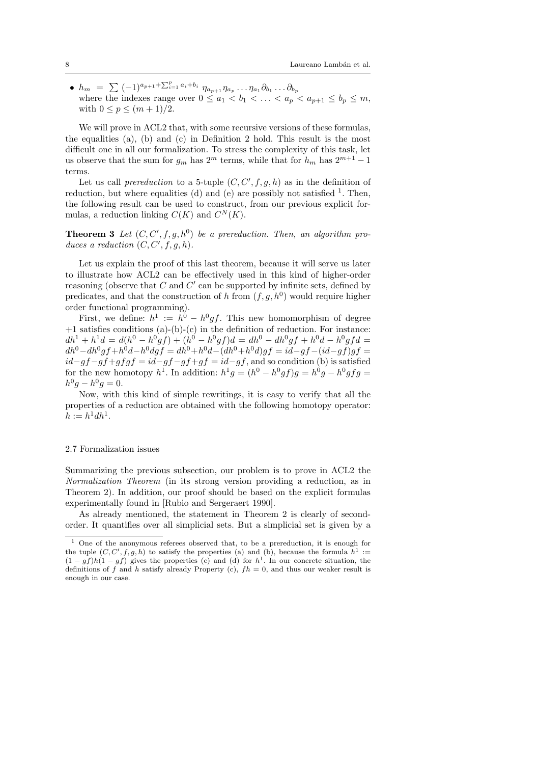•  $h_m = \sum_{i=1}^{\infty} (-1)^{a_{p+1} + \sum_{i=1}^{p} a_i + b_i} \eta_{a_{p+1}} \eta_{a_p} \dots \eta_{a_1} \partial_{b_1} \dots \partial_{b_p}$ where the indexes range over  $0 \le a_1 < b_1 < \ldots < a_p < a_{p+1} \le b_p \le m$ , with  $0 \le p \le (m+1)/2$ .

We will prove in ACL2 that, with some recursive versions of these formulas, the equalities  $(a)$ ,  $(b)$  and  $(c)$  in Definition 2 hold. This result is the most difficult one in all our formalization. To stress the complexity of this task, let us observe that the sum for  $g_m$  has  $2^m$  terms, while that for  $h_m$  has  $2^{m+1} - 1$ terms.

Let us call preveduction to a 5-tuple  $(C, C', f, g, h)$  as in the definition of reduction, but where equalities (d) and (e) are possibly not satisfied  $<sup>1</sup>$ . Then,</sup> the following result can be used to construct, from our previous explicit formulas, a reduction linking  $C(K)$  and  $C<sup>N</sup>(K)$ .

**Theorem 3** Let  $(C, C', f, g, h^0)$  be a prereduction. Then, an algorithm produces a reduction  $(C, C', f, g, h)$ .

Let us explain the proof of this last theorem, because it will serve us later to illustrate how ACL2 can be effectively used in this kind of higher-order reasoning (observe that  $C$  and  $C'$  can be supported by infinite sets, defined by predicates, and that the construction of h from  $(f, g, h^0)$  would require higher order functional programming).

First, we define:  $h^1 := h^0 - h^0 gf$ . This new homomorphism of degree  $+1$  satisfies conditions (a)-(b)-(c) in the definition of reduction. For instance:  $dh^1 + h^1d = d(h^0 - h^0gf) + (h^0 - h^0gf)d = dh^0 - dh^0gf + h^0d - h^0gfd =$  $dh^0 - dh^0gf + h^0d - h^0dgf = dh^0 + h^0d - (dh^0 + h^0d)gf = id - gf - (id - gf)gf =$  $id-gf-gf+gfgf=id-gf-gf+gf=id-gf$ , and so condition (b) is satisfied for the new homotopy  $h^1$ . In addition:  $h^1g = (h^0 - h^0gf)g = h^0g - h^0gfg =$  $h^0 g - h^0 g = 0.$ 

Now, with this kind of simple rewritings, it is easy to verify that all the properties of a reduction are obtained with the following homotopy operator:  $h := h^1 dh^1.$ 

#### 2.7 Formalization issues

Summarizing the previous subsection, our problem is to prove in ACL2 the Normalization Theorem (in its strong version providing a reduction, as in Theorem 2). In addition, our proof should be based on the explicit formulas experimentally found in [Rubio and Sergeraert 1990].

As already mentioned, the statement in Theorem 2 is clearly of secondorder. It quantifies over all simplicial sets. But a simplicial set is given by a

<sup>1</sup> One of the anonymous referees observed that, to be a prereduction, it is enough for the tuple  $(C, C', f, g, h)$  to satisfy the properties (a) and (b), because the formula  $h^1 :=$  $(1 - gf)h(1 - gf)$  gives the properties (c) and (d) for  $h^1$ . In our concrete situation, the definitions of f and h satisfy already Property (c),  $fh = 0$ , and thus our weaker result is enough in our case.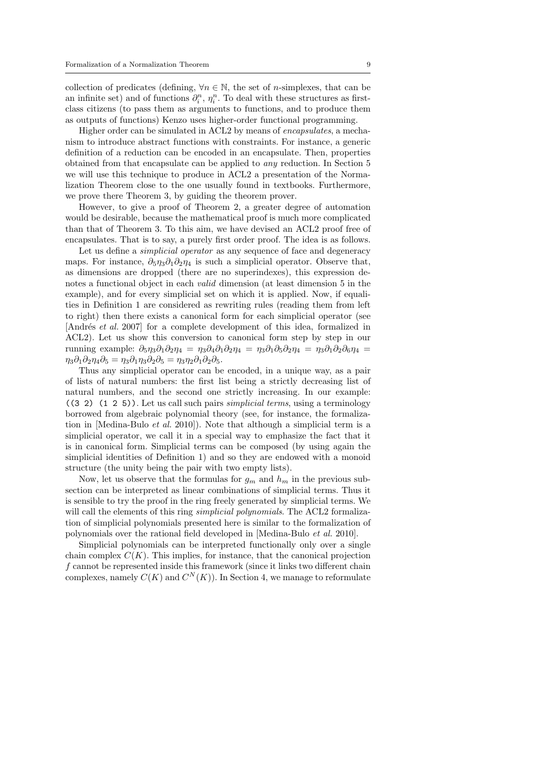collection of predicates (defining,  $\forall n \in \mathbb{N}$ , the set of *n*-simplexes, that can be an infinite set) and of functions  $\partial_i^n$ ,  $\eta_i^n$ . To deal with these structures as firstclass citizens (to pass them as arguments to functions, and to produce them as outputs of functions) Kenzo uses higher-order functional programming.

Higher order can be simulated in ACL2 by means of encapsulates, a mechanism to introduce abstract functions with constraints. For instance, a generic definition of a reduction can be encoded in an encapsulate. Then, properties obtained from that encapsulate can be applied to any reduction. In Section 5 we will use this technique to produce in ACL2 a presentation of the Normalization Theorem close to the one usually found in textbooks. Furthermore, we prove there Theorem 3, by guiding the theorem prover.

However, to give a proof of Theorem 2, a greater degree of automation would be desirable, because the mathematical proof is much more complicated than that of Theorem 3. To this aim, we have devised an ACL2 proof free of encapsulates. That is to say, a purely first order proof. The idea is as follows.

Let us define a *simplicial operator* as any sequence of face and degeneracy maps. For instance,  $\partial_5 \eta_3 \partial_1 \partial_2 \eta_4$  is such a simplicial operator. Observe that, as dimensions are dropped (there are no superindexes), this expression denotes a functional object in each valid dimension (at least dimension 5 in the example), and for every simplicial set on which it is applied. Now, if equalities in Definition 1 are considered as rewriting rules (reading them from left to right) then there exists a canonical form for each simplicial operator (see [Andrés et al. 2007] for a complete development of this idea, formalized in ACL2). Let us show this conversion to canonical form step by step in our running example:  $\partial_5 \eta_3 \partial_1 \partial_2 \eta_4 = \eta_3 \partial_4 \partial_1 \partial_2 \eta_4 = \eta_3 \partial_1 \partial_5 \partial_2 \eta_4 = \eta_3 \partial_1 \partial_2 \partial_6 \eta_4 =$  $\eta_3 \partial_1 \partial_2 \eta_4 \partial_5 = \eta_3 \partial_1 \eta_3 \partial_2 \partial_5 = \eta_3 \eta_2 \partial_1 \partial_2 \partial_5.$ 

Thus any simplicial operator can be encoded, in a unique way, as a pair of lists of natural numbers: the first list being a strictly decreasing list of natural numbers, and the second one strictly increasing. In our example:  $(3 2)$   $(1 2 5)$ . Let us call such pairs *simplicial terms*, using a terminology borrowed from algebraic polynomial theory (see, for instance, the formalization in [Medina-Bulo et al. 2010]). Note that although a simplicial term is a simplicial operator, we call it in a special way to emphasize the fact that it is in canonical form. Simplicial terms can be composed (by using again the simplicial identities of Definition 1) and so they are endowed with a monoid structure (the unity being the pair with two empty lists).

Now, let us observe that the formulas for  $g_m$  and  $h_m$  in the previous subsection can be interpreted as linear combinations of simplicial terms. Thus it is sensible to try the proof in the ring freely generated by simplicial terms. We will call the elements of this ring *simplicial polynomials*. The ACL2 formalization of simplicial polynomials presented here is similar to the formalization of polynomials over the rational field developed in [Medina-Bulo et al. 2010].

Simplicial polynomials can be interpreted functionally only over a single chain complex  $C(K)$ . This implies, for instance, that the canonical projection f cannot be represented inside this framework (since it links two different chain complexes, namely  $C(K)$  and  $C^N(K)$ ). In Section 4, we manage to reformulate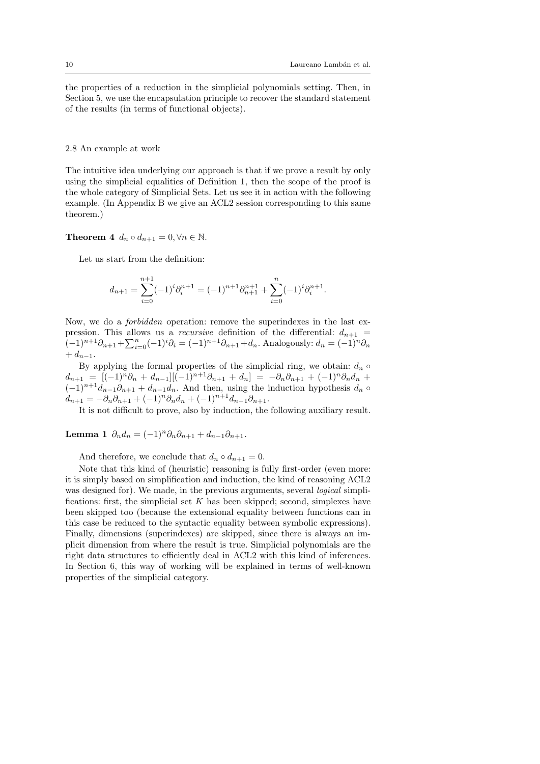the properties of a reduction in the simplicial polynomials setting. Then, in Section 5, we use the encapsulation principle to recover the standard statement of the results (in terms of functional objects).

#### 2.8 An example at work

The intuitive idea underlying our approach is that if we prove a result by only using the simplicial equalities of Definition 1, then the scope of the proof is the whole category of Simplicial Sets. Let us see it in action with the following example. (In Appendix B we give an ACL2 session corresponding to this same theorem.)

## **Theorem 4**  $d_n \circ d_{n+1} = 0, \forall n \in \mathbb{N}$ .

Let us start from the definition:

$$
d_{n+1} = \sum_{i=0}^{n+1} (-1)^i \partial_i^{n+1} = (-1)^{n+1} \partial_{n+1}^{n+1} + \sum_{i=0}^n (-1)^i \partial_i^{n+1}.
$$

Now, we do a forbidden operation: remove the superindexes in the last expression. This allows us a *recursive* definition of the differential:  $d_{n+1}$  $(-1)^{n+1}\partial_{n+1} + \sum_{i=0}^{n}(-1)^{i}\partial_{i} = (-1)^{n+1}\partial_{n+1} + d_{n}$ . Analogously:  $d_{n} = (-1)^{n}\partial_{n}$  $+ d_{n-1}.$ 

By applying the formal properties of the simplicial ring, we obtain:  $d_n \circ$  $d_{n+1} = [(-1)^n \partial_n + d_{n-1}][(-1)^{n+1} \partial_{n+1} + d_n] = -\partial_n \partial_{n+1} + (-1)^n \partial_n d_n +$  $(-1)^{n+1}d_{n-1}\partial_{n+1} + d_{n-1}d_n$ . And then, using the induction hypothesis  $d_n \circ$  $d_{n+1} = -\partial_n \partial_{n+1} + (-1)^n \partial_n d_n + (-1)^{n+1} d_{n-1} \partial_{n+1}.$ 

It is not difficult to prove, also by induction, the following auxiliary result.

Lemma 1  $\partial_n d_n = (-1)^n \partial_n \partial_{n+1} + d_{n-1} \partial_{n+1}.$ 

And therefore, we conclude that  $d_n \circ d_{n+1} = 0$ .

Note that this kind of (heuristic) reasoning is fully first-order (even more: it is simply based on simplification and induction, the kind of reasoning ACL2 was designed for). We made, in the previous arguments, several *logical* simplifications: first, the simplicial set  $K$  has been skipped; second, simplexes have been skipped too (because the extensional equality between functions can in this case be reduced to the syntactic equality between symbolic expressions). Finally, dimensions (superindexes) are skipped, since there is always an implicit dimension from where the result is true. Simplicial polynomials are the right data structures to efficiently deal in ACL2 with this kind of inferences. In Section 6, this way of working will be explained in terms of well-known properties of the simplicial category.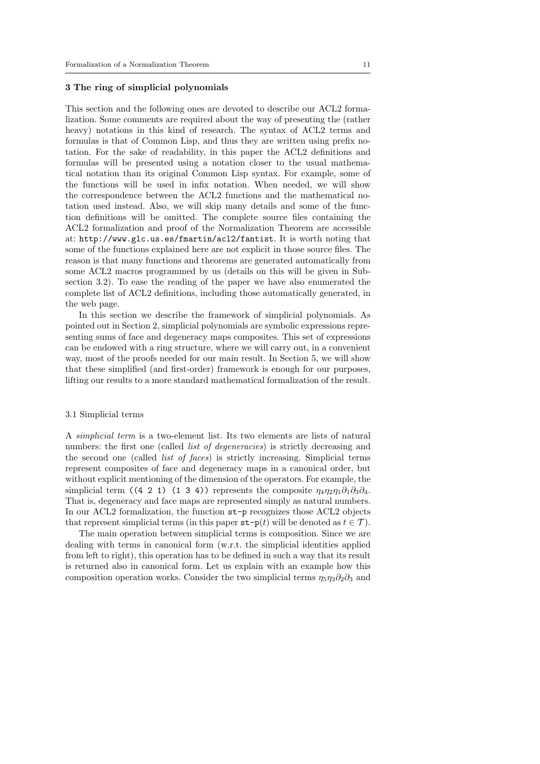#### 3 The ring of simplicial polynomials

This section and the following ones are devoted to describe our ACL2 formalization. Some comments are required about the way of presenting the (rather heavy) notations in this kind of research. The syntax of ACL2 terms and formulas is that of Common Lisp, and thus they are written using prefix notation. For the sake of readability, in this paper the ACL2 definitions and formulas will be presented using a notation closer to the usual mathematical notation than its original Common Lisp syntax. For example, some of the functions will be used in infix notation. When needed, we will show the correspondence between the ACL2 functions and the mathematical notation used instead. Also, we will skip many details and some of the function definitions will be omitted. The complete source files containing the ACL2 formalization and proof of the Normalization Theorem are accessible at: http://www.glc.us.es/fmartin/acl2/fantist. It is worth noting that some of the functions explained here are not explicit in those source files. The reason is that many functions and theorems are generated automatically from some ACL2 macros programmed by us (details on this will be given in Subsection 3.2). To ease the reading of the paper we have also enumerated the complete list of ACL2 definitions, including those automatically generated, in the web page.

In this section we describe the framework of simplicial polynomials. As pointed out in Section 2, simplicial polynomials are symbolic expressions representing sums of face and degeneracy maps composites. This set of expressions can be endowed with a ring structure, where we will carry out, in a convenient way, most of the proofs needed for our main result. In Section 5, we will show that these simplified (and first-order) framework is enough for our purposes, lifting our results to a more standard mathematical formalization of the result.

## 3.1 Simplicial terms

A simplicial term is a two-element list. Its two elements are lists of natural numbers: the first one (called *list of degeneracies*) is strictly decreasing and the second one (called list of faces) is strictly increasing. Simplicial terms represent composites of face and degeneracy maps in a canonical order, but without explicit mentioning of the dimension of the operators. For example, the simplicial term ((4 2 1) (1 3 4)) represents the composite  $\eta_4\eta_2\eta_1\partial_1\partial_3\partial_4$ . That is, degeneracy and face maps are represented simply as natural numbers. In our ACL2 formalization, the function st-p recognizes those ACL2 objects that represent simplicial terms (in this paper  $st-p(t)$  will be denoted as  $t \in \mathcal{T}$ ).

The main operation between simplicial terms is composition. Since we are dealing with terms in canonical form (w.r.t. the simplicial identities applied from left to right), this operation has to be defined in such a way that its result is returned also in canonical form. Let us explain with an example how this composition operation works. Consider the two simplicial terms  $\eta_5\eta_3\partial_2\partial_3$  and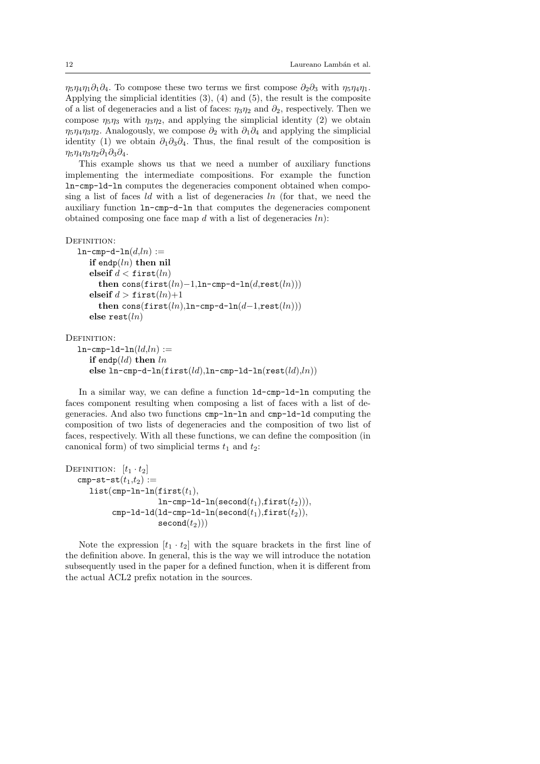$\eta_5\eta_4\eta_1\partial_1\partial_4$ . To compose these two terms we first compose  $\partial_2\partial_3$  with  $\eta_5\eta_4\eta_1$ . Applying the simplicial identities (3), (4) and (5), the result is the composite of a list of degeneracies and a list of faces:  $\eta_3\eta_2$  and  $\partial_2$ , respectively. Then we compose  $\eta_5\eta_3$  with  $\eta_3\eta_2$ , and applying the simplicial identity (2) we obtain  $\eta_5\eta_4\eta_3\eta_2$ . Analogously, we compose  $\partial_2$  with  $\partial_1\partial_4$  and applying the simplicial identity (1) we obtain  $\partial_1 \partial_3 \partial_4$ . Thus, the final result of the composition is  $\eta_5\eta_4\eta_3\eta_2\partial_1\partial_3\partial_4.$ 

This example shows us that we need a number of auxiliary functions implementing the intermediate compositions. For example the function ln-cmp-ld-ln computes the degeneracies component obtained when composing a list of faces  $ld$  with a list of degeneracies  $ln$  (for that, we need the auxiliary function ln-cmp-d-ln that computes the degeneracies component obtained composing one face map d with a list of degeneracies  $ln$ ):

#### DEFINITION:

```
ln-cmp-d-ln(d, ln) :=if endp(ln) then nil
  elseif d < first(ln)then cons(first(ln)−1,ln-cmp-d-ln(d,rest(ln)))
  elseif d > first(ln)+1then cons(first(ln),ln-cmp-d-ln(d-1,rest(ln)))
  else rest(ln)
```
#### DEFINITION:

```
ln-cmp-ld-ln(ld, ln) :=if endp(ld) then lnelse ln-cmp-d-ln(first(ld),ln-cmp-ld-ln(rest(ld),ln))
```
In a similar way, we can define a function ld-cmp-ld-ln computing the faces component resulting when composing a list of faces with a list of degeneracies. And also two functions cmp-ln-ln and cmp-ld-ld computing the composition of two lists of degeneracies and the composition of two list of faces, respectively. With all these functions, we can define the composition (in canonical form) of two simplicial terms  $t_1$  and  $t_2$ :

```
DEFINITION: [t_1 \cdot t_2]\texttt{cmp-st-st}(t_1,t_2) :=list(cmp-ln-ln(first(t_1)),ln-cmp-ld-ln(second(t_1),first(t_2))),
            cmp-ld-ld(ld-cmp-ld-ln(second(t_1),first(t_2)),
                         second(t_2))
```
Note the expression  $[t_1 \cdot t_2]$  with the square brackets in the first line of the definition above. In general, this is the way we will introduce the notation subsequently used in the paper for a defined function, when it is different from the actual ACL2 prefix notation in the sources.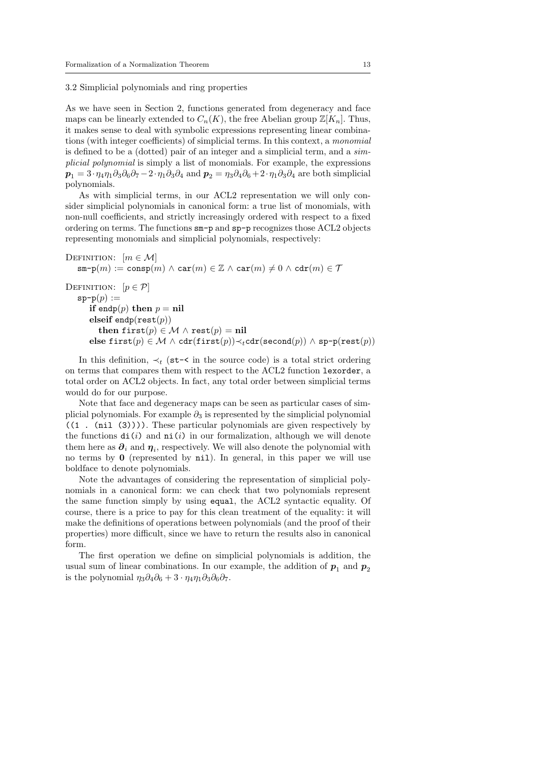3.2 Simplicial polynomials and ring properties

As we have seen in Section 2, functions generated from degeneracy and face maps can be linearly extended to  $C_n(K)$ , the free Abelian group  $\mathbb{Z}[K_n]$ . Thus, it makes sense to deal with symbolic expressions representing linear combinations (with integer coefficients) of simplicial terms. In this context, a monomial is defined to be a (dotted) pair of an integer and a simplicial term, and a simplicial polynomial is simply a list of monomials. For example, the expressions  $p_1 = 3 \cdot \eta_4 \eta_1 \partial_3 \partial_6 \partial_7 - 2 \cdot \eta_1 \partial_3 \partial_4$  and  $p_2 = \eta_3 \partial_4 \partial_6 + 2 \cdot \eta_1 \partial_3 \partial_4$  are both simplicial polynomials.

As with simplicial terms, in our ACL2 representation we will only consider simplicial polynomials in canonical form: a true list of monomials, with non-null coefficients, and strictly increasingly ordered with respect to a fixed ordering on terms. The functions sm-p and sp-p recognizes those ACL2 objects representing monomials and simplicial polynomials, respectively:

DEFINITION:  $[m \in \mathcal{M}]$  $sm-p(m) := \text{consp}(m) \wedge \text{car}(m) \in \mathbb{Z} \wedge \text{car}(m) \neq 0 \wedge \text{cdr}(m) \in \mathcal{T}$ DEFINITION:  $[p \in \mathcal{P}]$  $\texttt{sp-p}(p) :=$ if endp(p) then  $p = \textbf{nil}$ elseif endp( $\text{rest}(p)$ ) then first $(p) \in \mathcal{M} \wedge \text{rest}(p) = \textbf{nil}$ else first $(p) \in \mathcal{M} \wedge \text{cdr}(\text{first}(p)) \prec_t \text{cdr}(\text{second}(p)) \wedge \text{sp-p}(\text{rest}(p))$ 

In this definition,  $\prec_t$  (st- $\prec$  in the source code) is a total strict ordering on terms that compares them with respect to the ACL2 function lexorder, a total order on ACL2 objects. In fact, any total order between simplicial terms would do for our purpose.

Note that face and degeneracy maps can be seen as particular cases of simplicial polynomials. For example  $\partial_3$  is represented by the simplicial polynomial  $((1 \t{all} (3))))$ . These particular polynomials are given respectively by the functions  $di(i)$  and  $ni(i)$  in our formalization, although we will denote them here as  $\partial_i$  and  $\eta_i$ , respectively. We will also denote the polynomial with no terms by 0 (represented by nil). In general, in this paper we will use boldface to denote polynomials.

Note the advantages of considering the representation of simplicial polynomials in a canonical form: we can check that two polynomials represent the same function simply by using equal, the ACL2 syntactic equality. Of course, there is a price to pay for this clean treatment of the equality: it will make the definitions of operations between polynomials (and the proof of their properties) more difficult, since we have to return the results also in canonical form.

The first operation we define on simplicial polynomials is addition, the usual sum of linear combinations. In our example, the addition of  $p_1$  and  $p_2$ is the polynomial  $\eta_3 \partial_4 \partial_6 + 3 \cdot \eta_4 \eta_1 \partial_3 \partial_6 \partial_7$ .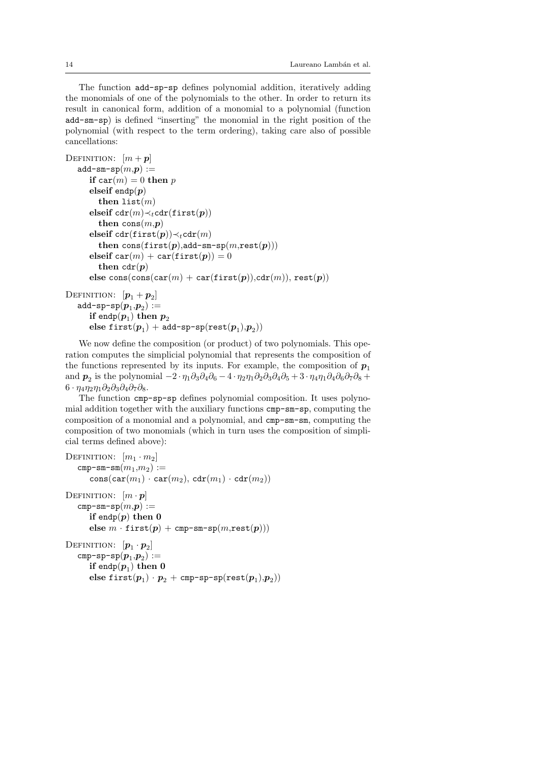The function add-sp-sp defines polynomial addition, iteratively adding the monomials of one of the polynomials to the other. In order to return its result in canonical form, addition of a monomial to a polynomial (function add-sm-sp) is defined "inserting" the monomial in the right position of the polynomial (with respect to the term ordering), taking care also of possible cancellations:

```
DEFINITION: [m + p]add\text{-sm-sp}(m,p) :=if car(m) = 0 then p
       elseif endp(p)then list(m)elseif cdr(m) \prec_tcdr(first(p))
          then \cos(m,p)elseif cdr(first(p))\prec_tcdr(m)then \text{cons}(\text{first}(p),\text{add-sm-sp}(m,\text{rest}(p)))elseif car(m) + car(first(p)) = 0then cdr(p)else cons(cons(car(m) + car(first(p)),cdr(m)), rest(p))
DEFINITION: [p_1 + p_2]add-sp-sp(\boldsymbol{p}_1,\boldsymbol{p}_2) :=if endp(\boldsymbol{p}_1) then \boldsymbol{p}_2\text{else first}( \boldsymbol{p}_1 ) + \text{add-sp-sp}(\text{rest}( \boldsymbol{p}_1), \boldsymbol{p}_2 ))
```
We now define the composition (or product) of two polynomials. This operation computes the simplicial polynomial that represents the composition of the functions represented by its inputs. For example, the composition of  $p_1$ and  $p_2$  is the polynomial  $-2 \cdot \eta_1 \partial_3 \partial_4 \partial_6 - 4 \cdot \eta_2 \eta_1 \partial_2 \partial_3 \partial_4 \partial_5 + 3 \cdot \eta_4 \eta_1 \partial_4 \partial_6 \partial_7 \partial_8 +$  $6 \cdot \eta_4 \eta_2 \eta_1 \partial_2 \partial_3 \partial_4 \partial_7 \partial_8.$ 

The function cmp-sp-sp defines polynomial composition. It uses polynomial addition together with the auxiliary functions cmp-sm-sp, computing the composition of a monomial and a polynomial, and cmp-sm-sm, computing the composition of two monomials (which in turn uses the composition of simplicial terms defined above):

```
DEFINITION: [m_1 \cdot m_2]cmp - sm - sm(m_1,m_2) :=\text{cons}(\text{car}(m_1) \cdot \text{car}(m_2), \text{cdr}(m_1) \cdot \text{cdr}(m_2))DEFINITION: [m \cdot p]cmp-sm-sp(m,p) :=if endp(p) then 0
           else m \cdot \text{first}(p) + \text{cmp-sm-sp}(m,\text{rest}(p)))DEFINITION: \left[\boldsymbol{p}_1\cdot\boldsymbol{p}_2\right]\mathtt{cmp-sp-sp}( \boldsymbol{p}_1, \boldsymbol{p}_2 ) :={\rm if\; endp}(p_1) {\rm \; then\;} 0\text{else first}( \boldsymbol{p}_1) \cdot \boldsymbol{p}_2 + \text{cmp-sp-sp}(\text{rest}( \boldsymbol{p}_1), \boldsymbol{p}_2))
```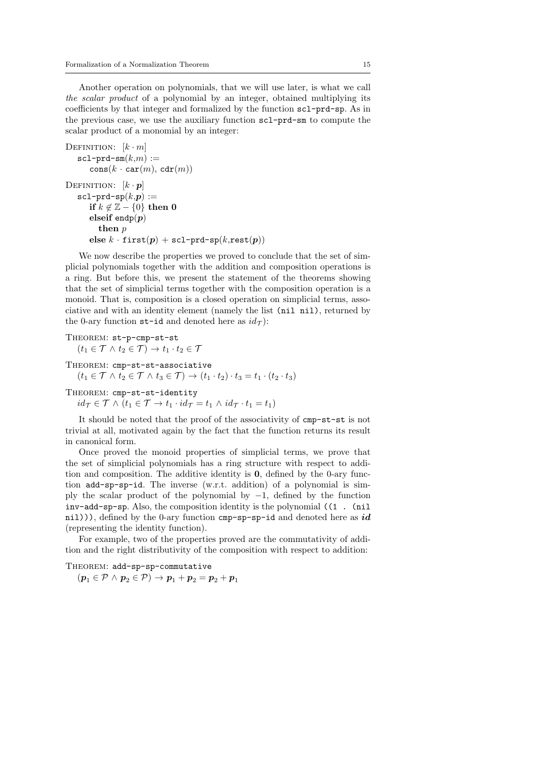Another operation on polynomials, that we will use later, is what we call the scalar product of a polynomial by an integer, obtained multiplying its coefficients by that integer and formalized by the function scl-prd-sp. As in the previous case, we use the auxiliary function scl-prd-sm to compute the scalar product of a monomial by an integer:

```
DEFINITION: [k \cdot m]\texttt{scl-prd-sm}(k,m) :=\text{cons}(k \cdot \text{car}(m), \text{cdr}(m))DEFINITION: [k \cdot p]\texttt{scl-prd-sp}(k,\pmb{p}) :=if k \notin \mathbb{Z} - \{0\} then 0
        elseif endp(p)then p
        else k \cdot \texttt{first}(p) + \texttt{sc1-prd-sp}(k,\texttt{rest}(p))
```
We now describe the properties we proved to conclude that the set of simplicial polynomials together with the addition and composition operations is a ring. But before this, we present the statement of the theorems showing that the set of simplicial terms together with the composition operation is a monoid. That is, composition is a closed operation on simplicial terms, associative and with an identity element (namely the list (nil nil), returned by the 0-ary function  $st-id$  and denoted here as  $id_{\mathcal{T}}$ :

THEOREM: st-p-cmp-st-st  $(t_1 \in \mathcal{T} \land t_2 \in \mathcal{T}) \rightarrow t_1 \cdot t_2 \in \mathcal{T}$ 

THEOREM: cmp-st-st-associative

 $(t_1 \in \mathcal{T} \wedge t_2 \in \mathcal{T} \wedge t_3 \in \mathcal{T}) \rightarrow (t_1 \cdot t_2) \cdot t_3 = t_1 \cdot (t_2 \cdot t_3)$ 

THEOREM: cmp-st-st-identity

 $id_{\mathcal{T}} \in \mathcal{T} \wedge (t_1 \in \mathcal{T} \rightarrow t_1 \cdot id_{\mathcal{T}} = t_1 \wedge id_{\mathcal{T}} \cdot t_1 = t_1)$ 

It should be noted that the proof of the associativity of cmp-st-st is not trivial at all, motivated again by the fact that the function returns its result in canonical form.

Once proved the monoid properties of simplicial terms, we prove that the set of simplicial polynomials has a ring structure with respect to addition and composition. The additive identity is 0, defined by the 0-ary function add-sp-sp-id. The inverse (w.r.t. addition) of a polynomial is simply the scalar product of the polynomial by  $-1$ , defined by the function inv-add-sp-sp. Also, the composition identity is the polynomial ((1 . (nil nil))), defined by the 0-ary function cmp-sp-sp-id and denoted here as  $id$ (representing the identity function).

For example, two of the properties proved are the commutativity of addition and the right distributivity of the composition with respect to addition:

THEOREM: add-sp-sp-commutative

 $(p_1 \in \mathcal{P} \land p_2 \in \mathcal{P}) \rightarrow p_1 + p_2 = p_2 + p_1$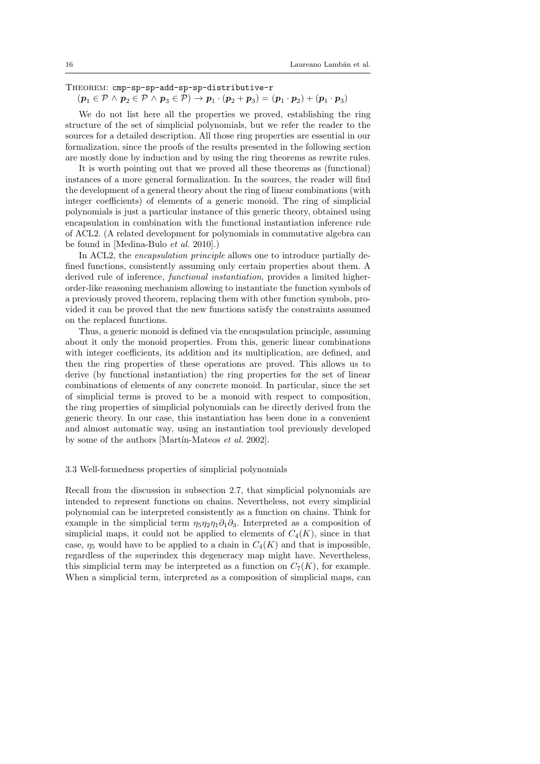## THEOREM: cmp-sp-sp-add-sp-sp-distributive-r

## $(\boldsymbol{p}_1 \in \mathcal{P} \, \wedge \, \boldsymbol{p}_2 \in \mathcal{P} \, \wedge \, \boldsymbol{p}_3 \in \mathcal{P}) \rightarrow \boldsymbol{p}_1 \cdot (\boldsymbol{p}_2 + \boldsymbol{p}_3) = (\boldsymbol{p}_1 \cdot \boldsymbol{p}_2) + (\boldsymbol{p}_1 \cdot \boldsymbol{p}_3)$

We do not list here all the properties we proved, establishing the ring structure of the set of simplicial polynomials, but we refer the reader to the sources for a detailed description. All those ring properties are essential in our formalization, since the proofs of the results presented in the following section are mostly done by induction and by using the ring theorems as rewrite rules.

It is worth pointing out that we proved all these theorems as (functional) instances of a more general formalization. In the sources, the reader will find the development of a general theory about the ring of linear combinations (with integer coefficients) of elements of a generic monoid. The ring of simplicial polynomials is just a particular instance of this generic theory, obtained using encapsulation in combination with the functional instantiation inference rule of ACL2. (A related development for polynomials in commutative algebra can be found in [Medina-Bulo et al. 2010].)

In ACL2, the *encapsulation principle* allows one to introduce partially defined functions, consistently assuming only certain properties about them. A derived rule of inference, functional instantiation, provides a limited higherorder-like reasoning mechanism allowing to instantiate the function symbols of a previously proved theorem, replacing them with other function symbols, provided it can be proved that the new functions satisfy the constraints assumed on the replaced functions.

Thus, a generic monoid is defined via the encapsulation principle, assuming about it only the monoid properties. From this, generic linear combinations with integer coefficients, its addition and its multiplication, are defined, and then the ring properties of these operations are proved. This allows us to derive (by functional instantiation) the ring properties for the set of linear combinations of elements of any concrete monoid. In particular, since the set of simplicial terms is proved to be a monoid with respect to composition, the ring properties of simplicial polynomials can be directly derived from the generic theory. In our case, this instantiation has been done in a convenient and almost automatic way, using an instantiation tool previously developed by some of the authors [Martín-Mateos  $et \ al.$  2002].

#### 3.3 Well-formedness properties of simplicial polynomials

Recall from the discussion in subsection 2.7, that simplicial polynomials are intended to represent functions on chains. Nevertheless, not every simplicial polynomial can be interpreted consistently as a function on chains. Think for example in the simplicial term  $\eta_5\eta_2\eta_1\partial_1\partial_3$ . Interpreted as a composition of simplicial maps, it could not be applied to elements of  $C_4(K)$ , since in that case,  $\eta_5$  would have to be applied to a chain in  $C_4(K)$  and that is impossible, regardless of the superindex this degeneracy map might have. Nevertheless, this simplicial term may be interpreted as a function on  $C_7(K)$ , for example. When a simplicial term, interpreted as a composition of simplicial maps, can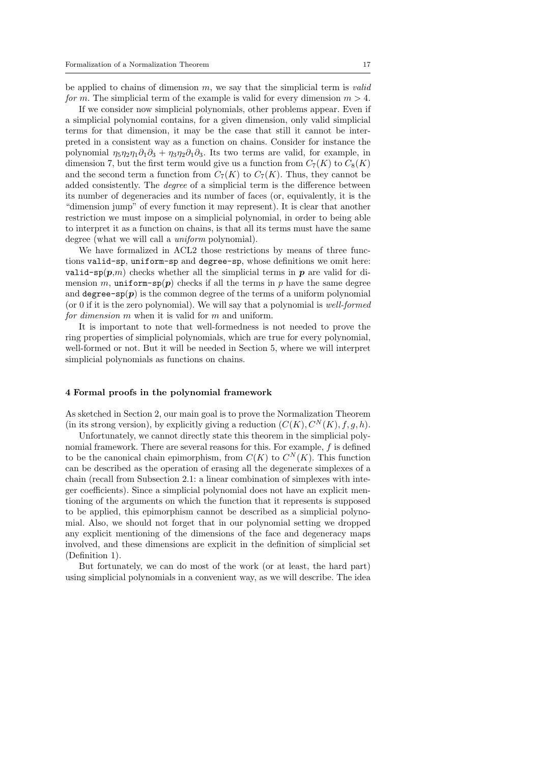be applied to chains of dimension  $m$ , we say that the simplicial term is *valid* for m. The simplicial term of the example is valid for every dimension  $m > 4$ .

If we consider now simplicial polynomials, other problems appear. Even if a simplicial polynomial contains, for a given dimension, only valid simplicial terms for that dimension, it may be the case that still it cannot be interpreted in a consistent way as a function on chains. Consider for instance the polynomial  $\eta_5\eta_2\eta_1\partial_1\partial_3 + \eta_3\eta_2\partial_1\partial_3$ . Its two terms are valid, for example, in dimension 7, but the first term would give us a function from  $C_7(K)$  to  $C_8(K)$ and the second term a function from  $C_7(K)$  to  $C_7(K)$ . Thus, they cannot be added consistently. The degree of a simplicial term is the difference between its number of degeneracies and its number of faces (or, equivalently, it is the "dimension jump" of every function it may represent). It is clear that another restriction we must impose on a simplicial polynomial, in order to being able to interpret it as a function on chains, is that all its terms must have the same degree (what we will call a *uniform* polynomial).

We have formalized in ACL2 those restrictions by means of three functions valid-sp, uniform-sp and degree-sp, whose definitions we omit here: valid-sp $(p,m)$  checks whether all the simplicial terms in p are valid for dimension m, uniform-sp(p) checks if all the terms in p have the same degree and degree- $sp(p)$  is the common degree of the terms of a uniform polynomial (or 0 if it is the zero polynomial). We will say that a polynomial is well-formed for dimension  $m$  when it is valid for  $m$  and uniform.

It is important to note that well-formedness is not needed to prove the ring properties of simplicial polynomials, which are true for every polynomial, well-formed or not. But it will be needed in Section 5, where we will interpret simplicial polynomials as functions on chains.

#### 4 Formal proofs in the polynomial framework

As sketched in Section 2, our main goal is to prove the Normalization Theorem (in its strong version), by explicitly giving a reduction  $(C(K), C<sup>N</sup>(K), f, q, h)$ .

Unfortunately, we cannot directly state this theorem in the simplicial polynomial framework. There are several reasons for this. For example,  $f$  is defined to be the canonical chain epimorphism, from  $C(K)$  to  $C<sup>N</sup>(K)$ . This function can be described as the operation of erasing all the degenerate simplexes of a chain (recall from Subsection 2.1: a linear combination of simplexes with integer coefficients). Since a simplicial polynomial does not have an explicit mentioning of the arguments on which the function that it represents is supposed to be applied, this epimorphism cannot be described as a simplicial polynomial. Also, we should not forget that in our polynomial setting we dropped any explicit mentioning of the dimensions of the face and degeneracy maps involved, and these dimensions are explicit in the definition of simplicial set (Definition 1).

But fortunately, we can do most of the work (or at least, the hard part) using simplicial polynomials in a convenient way, as we will describe. The idea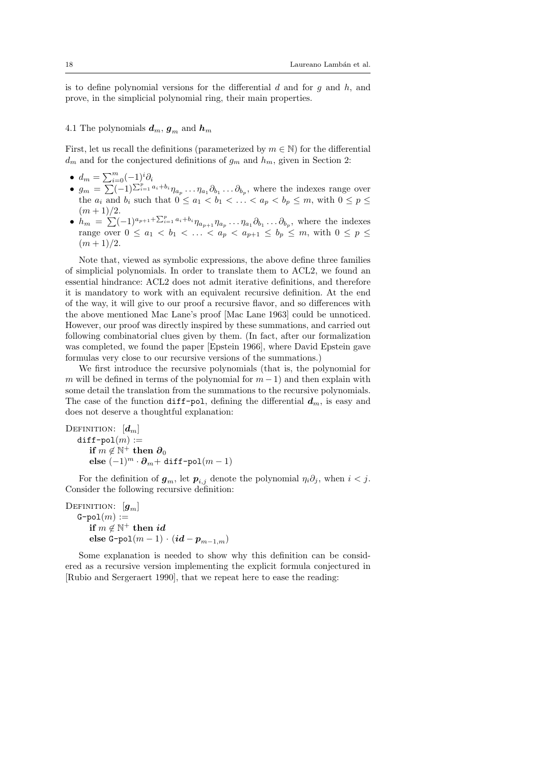is to define polynomial versions for the differential d and for q and h, and prove, in the simplicial polynomial ring, their main properties.

## 4.1 The polynomials  $d_m$ ,  $g_m$  and  $h_m$

First, let us recall the definitions (parameterized by  $m \in \mathbb{N}$ ) for the differential  $d_m$  and for the conjectured definitions of  $g_m$  and  $h_m$ , given in Section 2:

- $d_m = \sum_{i=0}^m (-1)^i \partial_i$
- $g_m = \sum_{i=1}^{\infty} (-1)^{\sum_{i=1}^p a_i + b_i} \eta_{a_p} \dots \eta_{a_1} \partial_{b_1} \dots \partial_{b_p}$ , where the indexes range over the  $a_i$  and  $b_i$  such that  $0 \le a_1 < b_1 < \ldots < a_p < b_p \le m$ , with  $0 \le p \le$  $(m+1)/2$ .
- $h_m = \sum_{i=1}^{\infty} (-1)^{a_{p+1} + \sum_{i=1}^{p} a_i + b_i} \eta_{a_{p+1}} \eta_{a_p} \dots \eta_{a_1} \partial_{b_1} \dots \partial_{b_p}$ , where the indexes range over  $0 \le a_1 < b_1 < \ldots < a_p < a_{p+1} \le b_p \le m$ , with  $0 \le p \le$  $(m+1)/2$ .

Note that, viewed as symbolic expressions, the above define three families of simplicial polynomials. In order to translate them to ACL2, we found an essential hindrance: ACL2 does not admit iterative definitions, and therefore it is mandatory to work with an equivalent recursive definition. At the end of the way, it will give to our proof a recursive flavor, and so differences with the above mentioned Mac Lane's proof [Mac Lane 1963] could be unnoticed. However, our proof was directly inspired by these summations, and carried out following combinatorial clues given by them. (In fact, after our formalization was completed, we found the paper [Epstein 1966], where David Epstein gave formulas very close to our recursive versions of the summations.)

We first introduce the recursive polynomials (that is, the polynomial for m will be defined in terms of the polynomial for  $m-1$ ) and then explain with some detail the translation from the summations to the recursive polynomials. The case of the function diff-pol, defining the differential  $d_m$ , is easy and does not deserve a thoughtful explanation:

```
DEFINITION: [d_m]diff-pol(m) :=\overline{\text{if}}\text{ }m\not\in \mathbb{N}^{+}\text{ }{\text{then}}\text{ }\partial_{0}% \text{ }\overline{\partial}_{\text{ }m}\text{ }helse (-1)^m \cdot \partial_m + \text{diff-pol}(m-1)
```
For the definition of  $g_m$ , let  $p_{i,j}$  denote the polynomial  $\eta_i \partial_j$ , when  $i < j$ . Consider the following recursive definition:

```
DEFINITION: [g_m]G-pol(m) :=\overline{\textbf{if}} \ m \not\in \mathbb{N}^+ \ \textbf{then} \ \textbf{\textit{id}}else G-pol(m-1) \cdot (id - p_{m-1,m})
```
Some explanation is needed to show why this definition can be considered as a recursive version implementing the explicit formula conjectured in [Rubio and Sergeraert 1990], that we repeat here to ease the reading: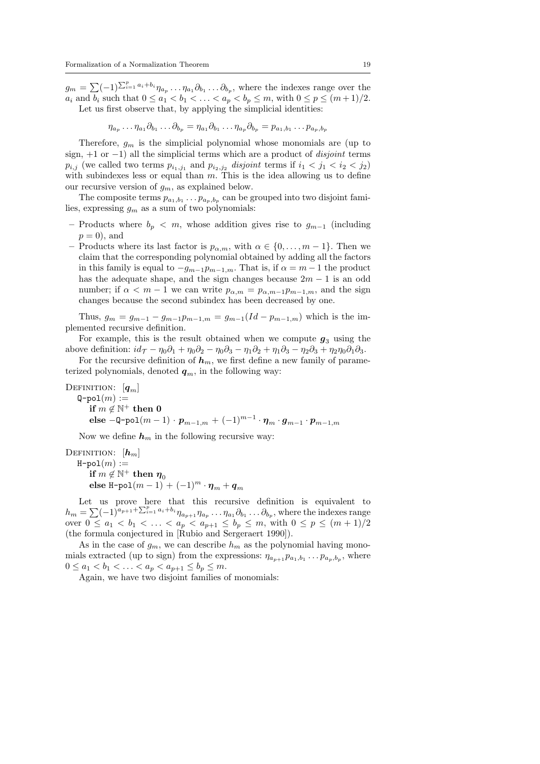$g_m = \sum (-1)^{\sum_{i=1}^p a_i + b_i} \eta_{a_p} \dots \eta_{a_1} \partial_{b_1} \dots \partial_{b_p}$ , where the indexes range over the  $a_i$  and  $b_i$  such that  $0 \le a_1 < b_1 < \ldots < a_p < b_p \le m$ , with  $0 \le p \le (m+1)/2$ . Let us first observe that, by applying the simplicial identities:

 $\eta_{a_p} \dots \eta_{a_1} \partial_{b_1} \dots \partial_{b_p} = \eta_{a_1} \partial_{b_1} \dots \eta_{a_p} \partial_{b_p} = p_{a_1, b_1} \dots p_{a_p, b_p}$ 

Therefore,  $g_m$  is the simplicial polynomial whose monomials are (up to sign,  $+1$  or  $-1$ ) all the simplicial terms which are a product of *disjoint* terms  $p_{i,j}$  (we called two terms  $p_{i_1,j_1}$  and  $p_{i_2,j_2}$  disjoint terms if  $i_1 < j_1 < i_2 < j_2$ ) with subindexes less or equal than  $m$ . This is the idea allowing us to define our recursive version of  $g_m$ , as explained below.

The composite terms  $p_{a_1,b_1} \dots p_{a_p,b_p}$  can be grouped into two disjoint families, expressing  $g_m$  as a sum of two polynomials:

- Products where  $b_p < m$ , whose addition gives rise to  $g_{m-1}$  (including  $p = 0$ , and
- Products where its last factor is  $p_{\alpha,m}$ , with  $\alpha \in \{0,\ldots,m-1\}$ . Then we claim that the corresponding polynomial obtained by adding all the factors in this family is equal to  $-g_{m-1}p_{m-1,m}$ . That is, if  $\alpha = m-1$  the product has the adequate shape, and the sign changes because  $2m - 1$  is an odd number; if  $\alpha < m - 1$  we can write  $p_{\alpha,m} = p_{\alpha,m-1}p_{m-1,m}$ , and the sign changes because the second subindex has been decreased by one.

Thus,  $g_m = g_{m-1} - g_{m-1}p_{m-1,m} = g_{m-1}(Id - p_{m-1,m})$  which is the implemented recursive definition.

For example, this is the result obtained when we compute  $g_3$  using the above definition:  $id_{\mathcal{T}} - \eta_0 \partial_1 + \eta_0 \partial_2 - \eta_0 \partial_3 - \eta_1 \partial_2 + \eta_1 \partial_3 - \eta_2 \partial_3 + \eta_2 \eta_0 \partial_1 \partial_3$ .

For the recursive definition of  $h_m$ , we first define a new family of parameterized polynomials, denoted  $q_m$ , in the following way:

DEFINITION:  $[q_m]$  $Q-pol(m) :=$ if  $m \notin \mathbb{N}^+$  then 0  $\mathbf{else} \ -\mathsf{Q\text{-}pol}(m-1)\cdot p_{m-1,m} + (-1)^{m-1}\cdot \pmb{\eta}_m \cdot \pmb{g}_{m-1}\cdot \pmb{p}_{m-1,m}$ 

Now we define  $h_m$  in the following recursive way:

DEFINITION:  $[h_m]$  $H-pol(m) :=$ if  $m \notin \mathbb{N}^+$  then  $\eta_0$ else H-pol $(m-1) + (-1)^m \cdot \eta_m + q_m$ 

Let us prove here that this recursive definition is equivalent to  $h_m = \sum (-1)^{a_{p+1} + \sum_{i=1}^p a_i + b_i} \eta_{a_{p+1}} \eta_{a_p} \dots \eta_{a_1} \partial_{b_1} \dots \partial_{b_p}$ , where the indexes range over  $0 \le a_1 < b_1 < \ldots < a_p < a_{p+1} \le b_p \le m$ , with  $0 \le p \le (m+1)/2$ (the formula conjectured in [Rubio and Sergeraert 1990]).

As in the case of  $g_m$ , we can describe  $h_m$  as the polynomial having monomials extracted (up to sign) from the expressions:  $\eta_{a_{p+1}} p_{a_1,b_1} \dots p_{a_p,b_p}$ , where  $0 \le a_1 < b_1 < \ldots < a_p < a_{p+1} \le b_p \le m$ .

Again, we have two disjoint families of monomials: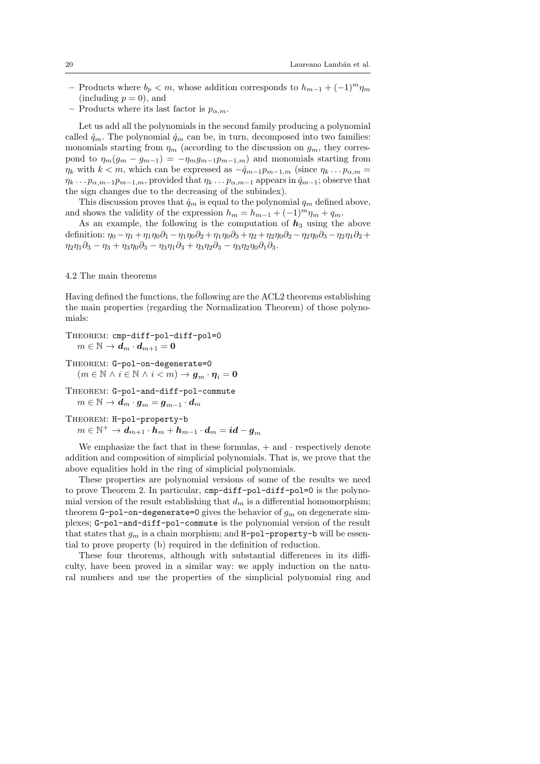- Products where  $b_p < m$ , whose addition corresponds to  $h_{m-1} + (-1)^m \eta_m$  $(including p = 0), and$
- Products where its last factor is  $p_{\alpha,m}$ .

Let us add all the polynomials in the second family producing a polynomial called  $\hat{q}_m$ . The polynomial  $\hat{q}_m$  can be, in turn, decomposed into two families: monomials starting from  $\eta_m$  (according to the discussion on  $g_m$ , they correspond to  $\eta_m(g_m - g_{m-1}) = -\eta_m g_{m-1} p_{m-1,m}$  and monomials starting from  $\eta_k$  with  $k < m$ , which can be expressed as  $-\hat{q}_{m-1}p_{m-1,m}$  (since  $\eta_k \dots \hat{\eta}_{\alpha,m} =$  $\eta_k \ldots p_{\alpha,m-1}p_{m-1,m}$ , provided that  $\eta_k \ldots p_{\alpha,m-1}$  appears in  $\hat{q}_{m-1}$ ; observe that the sign changes due to the decreasing of the subindex).

This discussion proves that  $\hat{q}_m$  is equal to the polynomial  $q_m$  defined above, and shows the validity of the expression  $h_m = h_{m-1} + (-1)^m \eta_m + q_m$ .

As an example, the following is the computation of  $h_3$  using the above definition:  $\eta_0 - \eta_1 + \eta_1 \eta_0 \partial_1 - \eta_1 \eta_0 \partial_2 + \eta_1 \eta_0 \partial_3 + \eta_2 + \eta_2 \eta_0 \partial_2 - \eta_2 \eta_0 \partial_3 - \eta_2 \eta_1 \partial_2 +$  $\eta_2 \eta_1 \partial_3 - \eta_3 + \eta_3 \eta_0 \partial_3 - \eta_3 \eta_1 \partial_3 + \eta_3 \eta_2 \partial_3 - \eta_3 \eta_2 \eta_0 \partial_1 \partial_3.$ 

## 4.2 The main theorems

Having defined the functions, the following are the ACL2 theorems establishing the main properties (regarding the Normalization Theorem) of those polynomials:

THEOREM: cmp-diff-pol-diff-pol=0  $m \in \mathbb{N} \to d_m \cdot d_{m+1} = 0$ 

THEOREM: G-pol-on-degenerate=0  $(m \in \mathbb{N} \land i \in \mathbb{N} \land i < m) \rightarrow g_m \cdot \eta_i = 0$ 

THEOREM: G-pol-and-diff-pol-commute  $m\in\mathbb{N}\rightarrow\bar{\bm{d}}_m\cdot\bm{g}_m=\bm{g}_{m-1}\cdot\bm{d}_m$ 

THEOREM: H-pol-property-b

 $m\in \mathbb{N}^+\rightarrow \overline{\bm d_{m+1}\cdot \bm h_m+\bm h_{m-1}\cdot \bm d_m}=\bm id-\bm g_m$ 

We emphasize the fact that in these formulas,  $+$  and  $\cdot$  respectively denote addition and composition of simplicial polynomials. That is, we prove that the above equalities hold in the ring of simplicial polynomials.

These properties are polynomial versions of some of the results we need to prove Theorem 2. In particular, cmp-diff-pol-diff-pol=0 is the polynomial version of the result establishing that  $d_m$  is a differential homomorphism; theorem G-pol-on-degenerate=0 gives the behavior of  $g_m$  on degenerate simplexes; G-pol-and-diff-pol-commute is the polynomial version of the result that states that  $g_m$  is a chain morphism; and H-pol-property-b will be essential to prove property (b) required in the definition of reduction.

These four theorems, although with substantial differences in its difficulty, have been proved in a similar way: we apply induction on the natural numbers and use the properties of the simplicial polynomial ring and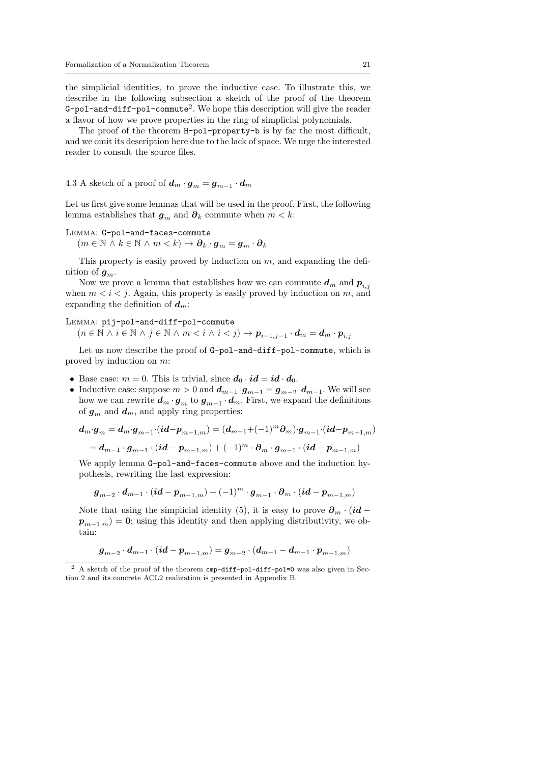the simplicial identities, to prove the inductive case. To illustrate this, we describe in the following subsection a sketch of the proof of the theorem G-pol-and-diff-pol-commute<sup>2</sup>. We hope this description will give the reader a flavor of how we prove properties in the ring of simplicial polynomials.

The proof of the theorem H-pol-property-b is by far the most difficult, and we omit its description here due to the lack of space. We urge the interested reader to consult the source files.

4.3 A sketch of a proof of  $d_m \cdot g_m = g_{m-1} \cdot d_m$ 

Let us first give some lemmas that will be used in the proof. First, the following lemma establishes that  $g_m$  and  $\partial_k$  commute when  $m < k$ :

Lemma: G-pol-and-faces-commute

 $(m \in \mathbb{N} \land k \in \mathbb{N} \land m < k) \rightarrow \partial_k \cdot g_m = g_m \cdot \partial_k$ 

This property is easily proved by induction on  $m$ , and expanding the definition of  $g_m$ .

Now we prove a lemma that establishes how we can commute  $d_m$  and  $p_{i,j}$ when  $m < i < j$ . Again, this property is easily proved by induction on m, and expanding the definition of  $d_m$ :

Lemma: pij-pol-and-diff-pol-commute  $(n \in \mathbb{N} \land i \in \mathbb{N} \land j \in \mathbb{N} \land m < i \land i < j) \rightarrow p_{i-1,j-1} \cdot d_m = d_m \cdot p_{i,j}$ 

Let us now describe the proof of G-pol-and-diff-pol-commute, which is proved by induction on m:

- Base case:  $m = 0$ . This is trivial, since  $d_0 \cdot id = id \cdot d_0$ .
- Inductive case: suppose  $m > 0$  and  $d_{m-1} \cdot g_{m-1} = g_{m-2} \cdot d_{m-1}$ . We will see how we can rewrite  $d_m \cdot g_m$  to  $g_{m-1} \cdot d_m$ . First, we expand the definitions of  $g_m$  and  $d_m$ , and apply ring properties:

$$
d_m \cdot g_m = d_m \cdot g_{m-1} \cdot (id - p_{m-1,m}) = (d_{m-1} + (-1)^m \partial_m) \cdot g_{m-1} \cdot (id - p_{m-1,m})
$$
  
=  $d_{m-1} \cdot g_{m-1} \cdot (id - p_{m-1,m}) + (-1)^m \cdot \partial_m \cdot g_{m-1} \cdot (id - p_{m-1,m})$ 

We apply lemma G-pol-and-faces-commute above and the induction hypothesis, rewriting the last expression:

$$
\boldsymbol g_{m-2}\cdot \boldsymbol d_{m-1} \cdot (\boldsymbol id-\boldsymbol p_{m-1,m})+(-1)^m\cdot \boldsymbol g_{m-1}\cdot \boldsymbol \partial_m \cdot (\boldsymbol id-\boldsymbol p_{m-1,m})
$$

Note that using the simplicial identity (5), it is easy to prove  $\partial_m \cdot (id$  $p_{m-1,m}$  = 0; using this identity and then applying distributivity, we obtain:

$$
{\boldsymbol g}_{m-2} \cdot {\boldsymbol d}_{m-1} \cdot ({\boldsymbol i} {\boldsymbol d} - {\boldsymbol p}_{m-1,m}) = {\boldsymbol g}_{m-2} \cdot ({\boldsymbol d}_{m-1} - {\boldsymbol d}_{m-1} \cdot {\boldsymbol p}_{m-1,m})
$$

<sup>2</sup> A sketch of the proof of the theorem cmp-diff-pol-diff-pol=0 was also given in Section 2 and its concrete ACL2 realization is presented in Appendix B.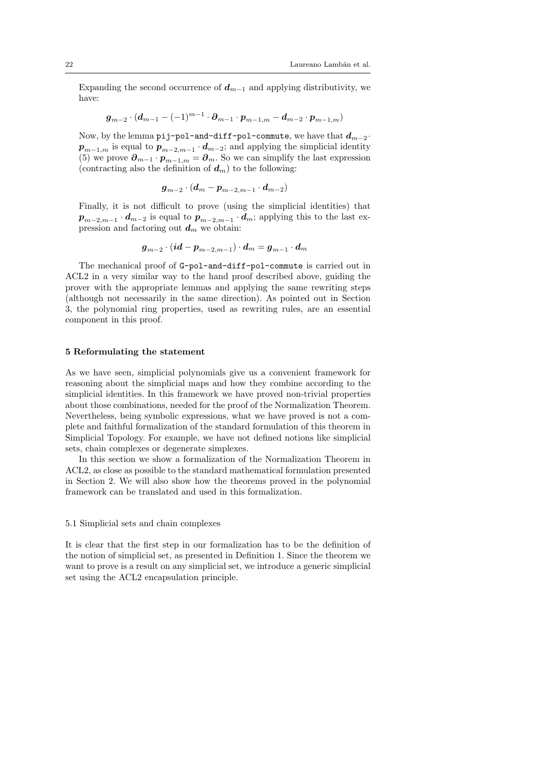Expanding the second occurrence of  $d_{m-1}$  and applying distributivity, we have:

$$
{\boldsymbol g}_{m-2} \cdot ( {\boldsymbol d}_{m-1} - (-1)^{m-1} \cdot {\boldsymbol \partial}_{m-1} \cdot {\boldsymbol p}_{m-1,m} - {\boldsymbol d}_{m-2} \cdot {\boldsymbol p}_{m-1,m})
$$

Now, by the lemma pij-pol-and-diff-pol-commute, we have that  $d_{m-2}$ .  $p_{m-1,m}$  is equal to  $p_{m-2,m-1} \cdot d_{m-2}$ ; and applying the simplicial identity (5) we prove  $\partial_{m-1} \cdot p_{m-1,m} = \partial_m$ . So we can simplify the last expression (contracting also the definition of  $d_m$ ) to the following:

$$
{\boldsymbol g}_{m-2}\cdot \left({\boldsymbol d}_m-{\boldsymbol p}_{m-2,m-1}\cdot {\boldsymbol d}_{m-2}\right)
$$

Finally, it is not difficult to prove (using the simplicial identities) that  $p_{m-2,m-1} \cdot d_{m-2}$  is equal to  $p_{m-2,m-1} \cdot d_m$ ; applying this to the last expression and factoring out  $d_m$  we obtain:

$$
\boldsymbol g_{m-2}\cdot (\boldsymbol id-\boldsymbol p_{m-2,m-1})\cdot \boldsymbol d_m = \boldsymbol g_{m-1}\cdot \boldsymbol d_m
$$

The mechanical proof of G-pol-and-diff-pol-commute is carried out in ACL2 in a very similar way to the hand proof described above, guiding the prover with the appropriate lemmas and applying the same rewriting steps (although not necessarily in the same direction). As pointed out in Section 3, the polynomial ring properties, used as rewriting rules, are an essential component in this proof.

#### 5 Reformulating the statement

As we have seen, simplicial polynomials give us a convenient framework for reasoning about the simplicial maps and how they combine according to the simplicial identities. In this framework we have proved non-trivial properties about those combinations, needed for the proof of the Normalization Theorem. Nevertheless, being symbolic expressions, what we have proved is not a complete and faithful formalization of the standard formulation of this theorem in Simplicial Topology. For example, we have not defined notions like simplicial sets, chain complexes or degenerate simplexes.

In this section we show a formalization of the Normalization Theorem in ACL2, as close as possible to the standard mathematical formulation presented in Section 2. We will also show how the theorems proved in the polynomial framework can be translated and used in this formalization.

## 5.1 Simplicial sets and chain complexes

It is clear that the first step in our formalization has to be the definition of the notion of simplicial set, as presented in Definition 1. Since the theorem we want to prove is a result on any simplicial set, we introduce a generic simplicial set using the ACL2 encapsulation principle.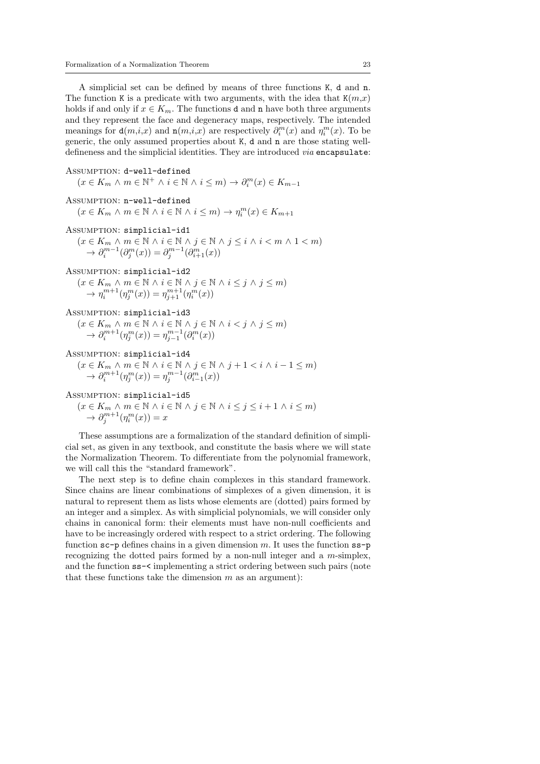A simplicial set can be defined by means of three functions K, d and n. The function K is a predicate with two arguments, with the idea that  $K(m,x)$ holds if and only if  $x \in K_m$ . The functions d and n have both three arguments and they represent the face and degeneracy maps, respectively. The intended meanings for  $d(m,i,x)$  and  $n(m,i,x)$  are respectively  $\partial_i^m(x)$  and  $\eta_i^m(x)$ . To be generic, the only assumed properties about K, d and n are those stating welldefineness and the simplicial identities. They are introduced via encapsulate:

## ASSUMPTION: d-well-defined

 $(x \in K_m \land m \in \mathbb{N}^+ \land i \in \mathbb{N} \land i \leq m) \rightarrow \partial_i^m(x) \in K_{m-1}$ 

Assumption: n-well-defined

 $(x \in K_m \land m \in \mathbb{N} \land i \in \mathbb{N} \land i \leq m) \rightarrow \eta_i^m(x) \in K_{m+1}$ 

```
Assumption: simplicial-id1
```
 $(x \in K_m \land m \in \mathbb{N} \land i \in \mathbb{N} \land j \in \mathbb{N} \land j \leq i \land i < m \land 1 < m)$  $\rightarrow \partial_i^{m-1}(\partial_j^m(x)) = \partial_j^{m-1}(\partial_{i+1}^m(x))$ 

Assumption: simplicial-id2

 $(x \in K_m \land m \in \mathbb{N} \land i \in \mathbb{N} \land j \in \mathbb{N} \land i \leq j \land j \leq m)$  $\rightarrow \eta_i^{m+1}(\eta_j^m(x)) = \eta_{j+1}^{m+1}(\eta_i^m(x))$ 

Assumption: simplicial-id3

 $(x \in K_m \land m \in \mathbb{N} \land i \in \mathbb{N} \land j \in \mathbb{N} \land i < j \land j \leq m)$  $\rightarrow \partial_i^{m+1}(\eta_j^m(x)) = \eta_{j-1}^{m-1}(\partial_i^m(x))$ 

Assumption: simplicial-id4

 $(x \in K_m \land m \in \mathbb{N} \land i \in \mathbb{N} \land j \in \mathbb{N} \land j+1 < i \land i-1 \leq m)$  $\to \partial_i^{m+1}(\eta_j^m(x)) = \eta_j^{m-1}(\partial_{i-1}^m(x))$ 

Assumption: simplicial-id5

 $(x \in K_m \land m \in \mathbb{N} \land i \in \mathbb{N} \land j \in \mathbb{N} \land i \leq j \leq i+1 \land i \leq m)$  $\rightarrow \partial_j^{m+1}(\eta_i^m(x)) = x$ 

These assumptions are a formalization of the standard definition of simplicial set, as given in any textbook, and constitute the basis where we will state the Normalization Theorem. To differentiate from the polynomial framework, we will call this the "standard framework".

The next step is to define chain complexes in this standard framework. Since chains are linear combinations of simplexes of a given dimension, it is natural to represent them as lists whose elements are (dotted) pairs formed by an integer and a simplex. As with simplicial polynomials, we will consider only chains in canonical form: their elements must have non-null coefficients and have to be increasingly ordered with respect to a strict ordering. The following function  $\texttt{sc-p}$  defines chains in a given dimension m. It uses the function  $\texttt{ss-p}$ recognizing the dotted pairs formed by a non-null integer and a m-simplex, and the function ss-< implementing a strict ordering between such pairs (note that these functions take the dimension  $m$  as an argument):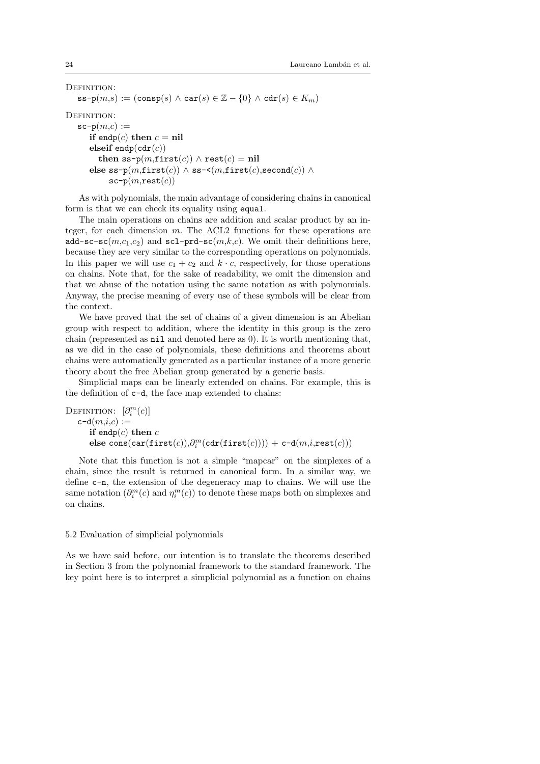DEFINITION:  $\texttt{ss-p}(m,s) := (\texttt{consp}(s) \land \texttt{car}(s) \in \mathbb{Z} - \{0\} \land \texttt{cdr}(s) \in K_m)$ DEFINITION:  $\texttt{sc-p}(m,c) :=$ if endp(c) then  $c = \textbf{nil}$ elseif endp $(cdr(c))$ then ss-p $(m, \text{first}(c)) \wedge \text{rest}(c) = \text{nil}$ else ss-p $(m, \text{first}(c)) \wedge$  ss- $\leq (m, \text{first}(c), \text{second}(c))$  $sc-p(m,rest(c))$ 

As with polynomials, the main advantage of considering chains in canonical form is that we can check its equality using equal.

The main operations on chains are addition and scalar product by an integer, for each dimension  $m$ . The ACL2 functions for these operations are add-sc-sc $(m,c_1,c_2)$  and scl-prd-sc $(m,k,c)$ . We omit their definitions here, because they are very similar to the corresponding operations on polynomials. In this paper we will use  $c_1 + c_2$  and  $k \cdot c$ , respectively, for those operations on chains. Note that, for the sake of readability, we omit the dimension and that we abuse of the notation using the same notation as with polynomials. Anyway, the precise meaning of every use of these symbols will be clear from the context.

We have proved that the set of chains of a given dimension is an Abelian group with respect to addition, where the identity in this group is the zero chain (represented as nil and denoted here as 0). It is worth mentioning that, as we did in the case of polynomials, these definitions and theorems about chains were automatically generated as a particular instance of a more generic theory about the free Abelian group generated by a generic basis.

Simplicial maps can be linearly extended on chains. For example, this is the definition of c-d, the face map extended to chains:

```
DEFINITION: [\partial_i^m(c)]c-d(m,i,c) :=if endp(c) then c{\sf else\ cons}({\sf car}({\sf first}(c)),\!\partial_i^m({\sf cdr}({\sf first}(c))))+{\sf c-d}(m,i,{\sf rest}(c)))
```
Note that this function is not a simple "mapcar" on the simplexes of a chain, since the result is returned in canonical form. In a similar way, we define c-n, the extension of the degeneracy map to chains. We will use the same notation  $(\partial_i^m(c)$  and  $\eta_i^m(c))$  to denote these maps both on simplexes and on chains.

#### 5.2 Evaluation of simplicial polynomials

As we have said before, our intention is to translate the theorems described in Section 3 from the polynomial framework to the standard framework. The key point here is to interpret a simplicial polynomial as a function on chains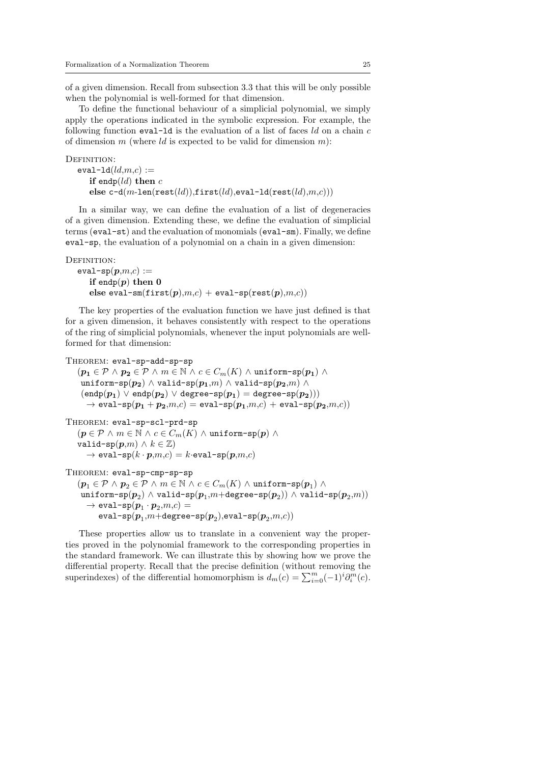of a given dimension. Recall from subsection 3.3 that this will be only possible when the polynomial is well-formed for that dimension.

To define the functional behaviour of a simplicial polynomial, we simply apply the operations indicated in the symbolic expression. For example, the following function eval-1d is the evaluation of a list of faces  $ld$  on a chain  $c$ of dimension m (where ld is expected to be valid for dimension m):

```
DEFINITION:
   eval-ld(ld,m,c) :=if endp(ld) then c
     else c-d(m-len(rest(ld)),first(ld),eval-ld(rest(ld),m,c)))
```
In a similar way, we can define the evaluation of a list of degeneracies of a given dimension. Extending these, we define the evaluation of simplicial terms (eval-st) and the evaluation of monomials (eval-sm). Finally, we define eval-sp, the evaluation of a polynomial on a chain in a given dimension:

DEFINITION:

 $\mathtt{eval-sp}({\bm{p}},m,c) :=$ if endp $(p)$  then 0 else eval-sm $(first(p),m,c)$  + eval-sp $(rest(p),m,c)$ )

The key properties of the evaluation function we have just defined is that for a given dimension, it behaves consistently with respect to the operations of the ring of simplicial polynomials, whenever the input polynomials are wellformed for that dimension:

```
THEOREM: eval-sp-add-sp-sp
```
 $(p_1 \in \mathcal{P} \land p_2 \in \mathcal{P} \land m \in \mathbb{N} \land c \in C_m(K) \land \text{uniform-sp}(p_1) \land$ uniform-sp $(p_{2}) \wedge$  valid-sp $(p_{1},m) \wedge$  valid-sp $(p_{2},m) \wedge$  $(\text{endp}(p_1) \vee \text{endp}(p_2) \vee \text{degree-sp}(p_1) = \text{degree-sp}(p_2))$  $\rightarrow$  eval-sp $(\boldsymbol{p_1} + \boldsymbol{p_2} ,m,c) =$  eval-sp $(\boldsymbol{p_1},m,c) +$  eval-sp $(\boldsymbol{p_2},m,c))$ 

```
THEOREM: eval-sp-scl-prd-sp
```

```
(p \in \mathcal{P} \land m \in \mathbb{N} \land c \in C_m(K) \land \text{uniform-sp}(p) \landvalid-sp(p,m) \wedge k \in \mathbb{Z}\rightarrow eval-sp(k \cdot p,m,c) = k \cdot \text{eval-sp}(p,m,c)
```

```
THEOREM: eval-sp-cmp-sp-sp
```
 $(\bm{p}_1 \in \mathcal{P} \land \bm{p}_2 \in \mathcal{P} \land m \in \mathbb{N} \land c \in C_m(K) \land \mathtt{uniform-sp}(\bm{p}_1) \land$  $\texttt{uniform-sp}({\bm p}_2) \wedge \texttt{valid-sp}({\bm p}_1,\!m\!+\!\texttt{degree-sp}({\bm p}_2)) \wedge \texttt{valid-sp}({\bm p}_2,\!m))$  $\rightarrow$  eval-sp $(\boldsymbol{p}_1\cdot\boldsymbol{p}_2,\!m,\!c)=$  $\mathtt{eval-sp}({\bm{p}}_1{,}m{+}\mathtt{degree}\text{-}\mathtt{sp}({\bm{p}}_2){,}\mathtt{eval}\text{-}\mathtt{sp}({\bm{p}}_2{,}m{,}c))$ 

These properties allow us to translate in a convenient way the properties proved in the polynomial framework to the corresponding properties in the standard framework. We can illustrate this by showing how we prove the differential property. Recall that the precise definition (without removing the superindexes) of the differential homomorphism is  $d_m(c) = \sum_{i=0}^m (-1)^i \partial_i^m(c)$ .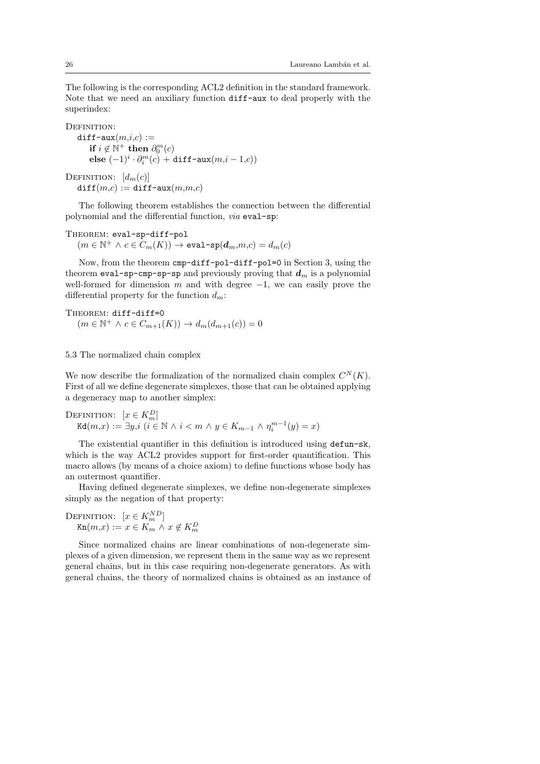The following is the corresponding ACL2 definition in the standard framework. Note that we need an auxiliary function diff-aux to deal properly with the superindex:

DEFINITION:

 $diff$ -aux $(m,i,c) :=$ if  $i \notin \mathbb{N}^+$  then  $\partial_0^m(c)$  $\textbf{else}~(-1)^i\cdot \partial^m_i(c) + \texttt{diff-aux}(m,i-1,c))$ 

DEFINITION:  $[d_m(c)]$  $diff(m,c) := diff - aux(m,m,c)$ 

The following theorem establishes the connection between the differential polynomial and the differential function, via eval-sp:

THEOREM: eval-sp-diff-pol  $(m\in \mathbb{N}^+ \, \land \, c \in \overline{C_m(K)}) \rightarrow \mathtt{eval-sp}(\boldsymbol{d}_m,\!m,\!c) = d_m(c)$ 

Now, from the theorem cmp-diff-pol-diff-pol=0 in Section 3, using the theorem eval-sp-cmp-sp-sp and previously proving that  $d_m$  is a polynomial well-formed for dimension m and with degree  $-1$ , we can easily prove the differential property for the function  $d_m$ :

```
THEOREM: diff-diff=0
    (m \in \mathbb{N}^+ \land c \in C_{m+1}(K)) \to d_m(d_{m+1}(c)) = 0
```
5.3 The normalized chain complex

We now describe the formalization of the normalized chain complex  $C<sup>N</sup>(K)$ . First of all we define degenerate simplexes, those that can be obtained applying a degeneracy map to another simplex:

DEFINITION:  $[x \in K_m^D]$ Kd $(m,x) := \exists y,i \ (i \in \mathbb{N} \land i < m \land y \in K_{m-1} \land \eta_i^{m-1}(y) = x)$ 

The existential quantifier in this definition is introduced using defun-sk, which is the way ACL2 provides support for first-order quantification. This macro allows (by means of a choice axiom) to define functions whose body has an outermost quantifier.

Having defined degenerate simplexes, we define non-degenerate simplexes simply as the negation of that property:

DEFINITION:  $[x \in K_m^{ND}]$  $\mathtt{Kn}(m,x) := x \in K_m \land x \notin K_m^D$ 

Since normalized chains are linear combinations of non-degenerate simplexes of a given dimension, we represent them in the same way as we represent general chains, but in this case requiring non-degenerate generators. As with general chains, the theory of normalized chains is obtained as an instance of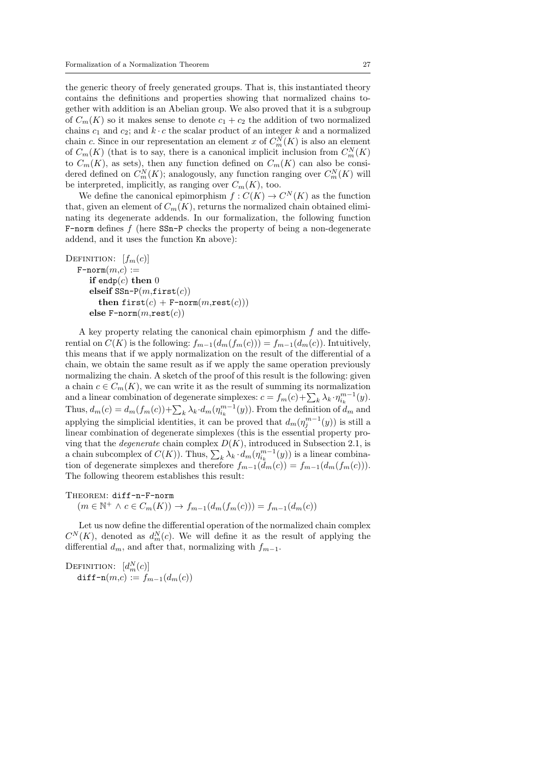the generic theory of freely generated groups. That is, this instantiated theory contains the definitions and properties showing that normalized chains together with addition is an Abelian group. We also proved that it is a subgroup of  $C_m(K)$  so it makes sense to denote  $c_1 + c_2$  the addition of two normalized chains  $c_1$  and  $c_2$ ; and  $k \cdot c$  the scalar product of an integer k and a normalized chain c. Since in our representation an element x of  $C_m^N(K)$  is also an element of  $C_m(K)$  (that is to say, there is a canonical implicit inclusion from  $C_m^N(K)$ to  $C_m(K)$ , as sets), then any function defined on  $C_m(K)$  can also be considered defined on  $C_m^N(K)$ ; analogously, any function ranging over  $C_m^N(K)$  will be interpreted, implicitly, as ranging over  $C_m(K)$ , too.

We define the canonical epimorphism  $f: C(K) \to C^N(K)$  as the function that, given an element of  $C_m(K)$ , returns the normalized chain obtained eliminating its degenerate addends. In our formalization, the following function F-norm defines f (here SSn-P checks the property of being a non-degenerate addend, and it uses the function Kn above):

```
DEFINITION: [f_m(c)]F\text{-norm}(m,c) :=if endp(c) then 0
      elseif SSn-P(m,first(c))then first(c) + F-norm(m, \text{rest}(c)))else F-norm(m,rest(c))
```
A key property relating the canonical chain epimorphism f and the differential on  $C(K)$  is the following:  $f_{m-1}(d_m(f_m(c))) = f_{m-1}(d_m(c))$ . Intuitively, this means that if we apply normalization on the result of the differential of a chain, we obtain the same result as if we apply the same operation previously normalizing the chain. A sketch of the proof of this result is the following: given a chain  $c \in C_m(K)$ , we can write it as the result of summing its normalization and a linear combination of degenerate simplexes:  $c = f_m(c) + \sum_k \lambda_k \cdot \eta_{i_k}^{m-1}(y)$ . Thus,  $d_m(c) = d_m(f_m(c)) + \sum_k \lambda_k \cdot d_m(\eta^{m-1}_{i_k}(y))$ . From the definition of  $d_m$  and applying the simplicial identities, it can be proved that  $d_m(\eta_j^{m-1}(y))$  is still a linear combination of degenerate simplexes (this is the essential property proving that the *degenerate* chain complex  $D(K)$ , introduced in Subsection 2.1, is a chain subcomplex of  $C(K)$ ). Thus,  $\sum_{k} \lambda_k \cdot d_m(\eta^{m-1}_{i_k}(y))$  is a linear combination of degenerate simplexes and therefore  $f_{m-1}(\tilde{d}_m(c)) = f_{m-1}(d_m(f_m(c)))$ . The following theorem establishes this result:

```
THEOREM: diff-n-F-norm
```

```
(m \in \mathbb{N}^+ \land c \in C_m(K)) \to f_{m-1}(d_m(f_m(c))) = f_{m-1}(d_m(c))
```
Let us now define the differential operation of the normalized chain complex  $C^N(K)$ , denoted as  $d_m^N(c)$ . We will define it as the result of applying the differential  $d_m$ , and after that, normalizing with  $f_{m-1}$ .

DEFINITION:  $[d_m^N(c)]$ diff-n $(m,c)\mathrel{\mathop:}= f_{m-1}(d_m(c))$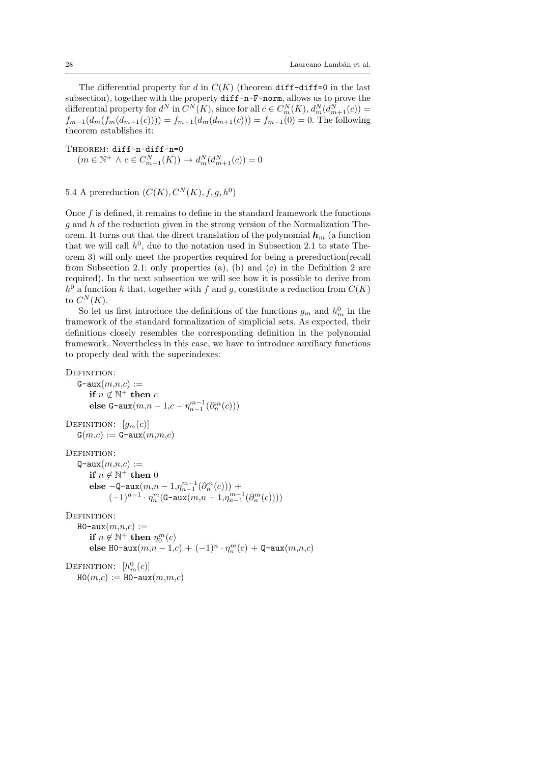The differential property for d in  $C(K)$  (theorem diff-diff=0 in the last subsection), together with the property diff-n-F-norm, allows us to prove the differential property for  $d^N$  in  $C^N(K)$ , since for all  $c \in C_m^N(K)$ ,  $d_m^N(d_{m+1}^N(c))$  =  $f_{m-1}(d_m(f_m(d_{m+1}(c)))) = f_{m-1}(d_m(d_{m+1}(c))) = f_{m-1}(0) = 0.$  The following theorem establishes it:

THEOREM: diff-n-diff-n=0  $(m \in \mathbb{N}^+ \land c \in C_{m+1}^N(K)) \to d_m^N(d_{m+1}^N(c)) = 0$ 

5.4 A prereduction  $(C(K), C<sup>N</sup>(K), f, g, h<sup>0</sup>)$ 

Once  $f$  is defined, it remains to define in the standard framework the functions g and h of the reduction given in the strong version of the Normalization Theorem. It turns out that the direct translation of the polynomial  $h_m$  (a function that we will call  $h^0$ , due to the notation used in Subsection 2.1 to state Theorem 3) will only meet the properties required for being a prereduction(recall from Subsection 2.1: only properties (a), (b) and (c) in the Definition 2 are required). In the next subsection we will see how it is possible to derive from  $h^0$  a function h that, together with f and g, constitute a reduction from  $C(K)$ to  $C^N(K)$ .

So let us first introduce the definitions of the functions  $g_m$  and  $h_m^0$  in the framework of the standard formalization of simplicial sets. As expected, their definitions closely resembles the corresponding definition in the polynomial framework. Nevertheless in this case, we have to introduce auxiliary functions to properly deal with the superindexes:

```
DEFINITION:
    G-aux(m,n,c) :=if n \notin \mathbb{N}^+ then c
        else G-aux(m, n-1, c-\eta_{n-1}^{m-1}(\partial_{n}^{m}(c)))DEFINITION: [g_m(c)]G(m,c) := G-aux(m,m,c)DEFINITION:
    Q-aux(m,n,c) :=if n \notin \mathbb{N}^+ then 0
        else -\mathbb{Q}-aux(m,n-1,\eta_{n-1}^{m-1}(\partial_n^m(c))) +
              (-1)^{n-1}\cdot \eta_n^m(\texttt{G-aux}(m,n-1, \eta_{n-1}^{m-1}(\partial_n^m(c))))DEFINITION:
   H0-aux(m,n,c) :=if n \notin \mathbb{N}^+ then \eta_0^m(c)else H0-aux(m, n - 1, c) + (-1)^n \cdot \eta_n^m(c) +Q-aux(m, n, c)DEFINITION: [h_m^0(c)]HO(m,c) := HO-\text{aux}(m,m,c)
```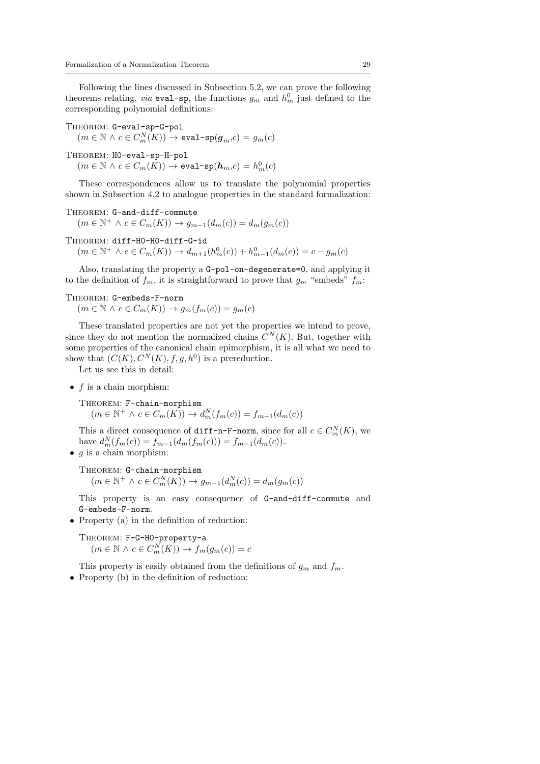Following the lines discussed in Subsection 5.2, we can prove the following theorems relating, *via* eval-sp, the functions  $g_m$  and  $h_m^0$  just defined to the corresponding polynomial definitions:

Theorem: G-eval-sp-G-pol  $(m\in \mathbb{N} \, \land \, c \in C_m^N(\overline{K})) \rightarrow \texttt{eval-sp}(\boldsymbol{g}_m,\!c) = g_m(c)$ 

THEOREM: H0-eval-sp-H-pol  $(m\in\mathbb{N} \land c\in C_m(\overline{K})) \to \texttt{eval-sp}(\boldsymbol{h}_m,c) = h_m^0(c)$ 

These correspondences allow us to translate the polynomial properties shown in Subsection 4.2 to analogue properties in the standard formalization:

THEOREM: G-and-diff-commute

 $(m \in \mathbb{N}^+ \land c \in C_m(K)) \to g_{m-1}(d_m(c)) = d_m(g_m(c))$ 

THEOREM: diff-H0-H0-diff-G-id

 $(m \in \mathbb{N}^+ \land c \in C_m(K)) \to d_{m+1}(h_m^0(c)) + h_{m-1}^0(d_m(c)) = c - g_m(c)$ 

Also, translating the property a G-pol-on-degenerate=0, and applying it to the definition of  $f_m$ , it is straightforward to prove that  $g_m$  "embeds"  $f_m$ :

#### Theorem: G-embeds-F-norm

 $(m \in \mathbb{N} \land c \in C_m(K)) \rightarrow g_m(f_m(c)) = g_m(c)$ 

These translated properties are not yet the properties we intend to prove, since they do not mention the normalized chains  $C^N(K)$ . But, together with some properties of the canonical chain epimorphism, it is all what we need to show that  $(C(K), C<sup>N</sup>(K), f, g, h<sup>0</sup>)$  is a prereduction.

Let us see this in detail:

 $\bullet$  f is a chain morphism:

THEOREM: F-chain-morphism  $(m \in \mathbb{N}^+ \land c \in C_m(K)) \to d_m^N(f_m(c)) = f_{m-1}(d_m(c))$ 

This a direct consequence of  $diff-n-F-norm$ , since for all  $c \in C_m^N(K)$ , we have  $d_m^N(f_m(c)) = f_{m-1}(d_m(f_m(c))) = f_{m-1}(d_m(c)).$ 

•  $q$  is a chain morphism:

THEOREM: G-chain-morphism  $(m \in \mathbb{N}^+ \land c \in C_m^N(K)) \to g_{m-1}(d_m^N(c)) = d_m(g_m(c))$ 

This property is an easy consequence of G-and-diff-commute and G-embeds-F-norm.

• Property (a) in the definition of reduction:

THEOREM: F-G-HO-property-a  $(m \in \mathbb{N} \land c \in C_m^N(K)) \to f_m(g_m(c)) = c$ 

This property is easily obtained from the definitions of  $g_m$  and  $f_m$ .

• Property (b) in the definition of reduction: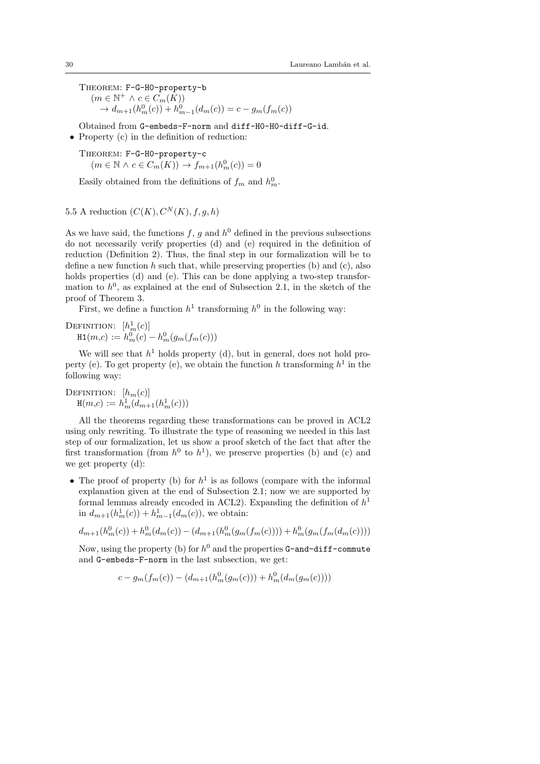THEOREM: F-G-HO-property-b

 $(m \in \mathbb{N}^+ \land c \in C_m(K))$  $\rightarrow d_{m+1}(h_m^0(c)) + h_{m-1}^0(d_m(c)) = c - g_m(f_m(c))$ 

- Obtained from G-embeds-F-norm and diff-H0-H0-diff-G-id.
- Property (c) in the definition of reduction:

THEOREM: F-G-HO-property-c  $(m \in \mathbb{N} \land c \in C_m(K)) \to f_{m+1}(h_m^0(c)) = 0$ 

Easily obtained from the definitions of  $f_m$  and  $h_m^0$ .

5.5 A reduction  $(C(K), C<sup>N</sup>(K), f, q, h)$ 

As we have said, the functions f, g and  $h^0$  defined in the previous subsections do not necessarily verify properties (d) and (e) required in the definition of reduction (Definition 2). Thus, the final step in our formalization will be to define a new function  $h$  such that, while preserving properties (b) and (c), also holds properties (d) and (e). This can be done applying a two-step transformation to  $h^0$ , as explained at the end of Subsection 2.1, in the sketch of the proof of Theorem 3.

First, we define a function  $h^1$  transforming  $h^0$  in the following way:

DEFINITION:  $[h_m^1(c)]$  $H1(m,c) := h_m^0(c) - h_m^0(g_m(f_m(c)))$ 

We will see that  $h^1$  holds property (d), but in general, does not hold property (e). To get property (e), we obtain the function h transforming  $h^1$  in the following way:

DEFINITION:  $[h_m(c)]$  $H(m,c) := h_m^1(d_{m+1}(h_m^1(c)))$ 

All the theorems regarding these transformations can be proved in ACL2 using only rewriting. To illustrate the type of reasoning we needed in this last step of our formalization, let us show a proof sketch of the fact that after the first transformation (from  $h^0$  to  $h^1$ ), we preserve properties (b) and (c) and we get property (d):

• The proof of property (b) for  $h^1$  is as follows (compare with the informal explanation given at the end of Subsection 2.1; now we are supported by formal lemmas already encoded in ACL2). Expanding the definition of  $h<sup>1</sup>$ in  $d_{m+1}(h_m^1(c)) + h_{m-1}^1(d_m(c))$ , we obtain:

$$
d_{m+1}(h_m^0(c)) + h_m^0(d_m(c)) - (d_{m+1}(h_m^0(g_m(f_m(c)))) + h_m^0(g_m(f_m(d_m(c))))
$$

Now, using the property (b) for  $h^0$  and the properties **G-and-diff-commute** and G-embeds-F-norm in the last subsection, we get:

$$
c - g_m(f_m(c)) - (d_{m+1}(h_m^0(g_m(c))) + h_m^0(d_m(g_m(c))))
$$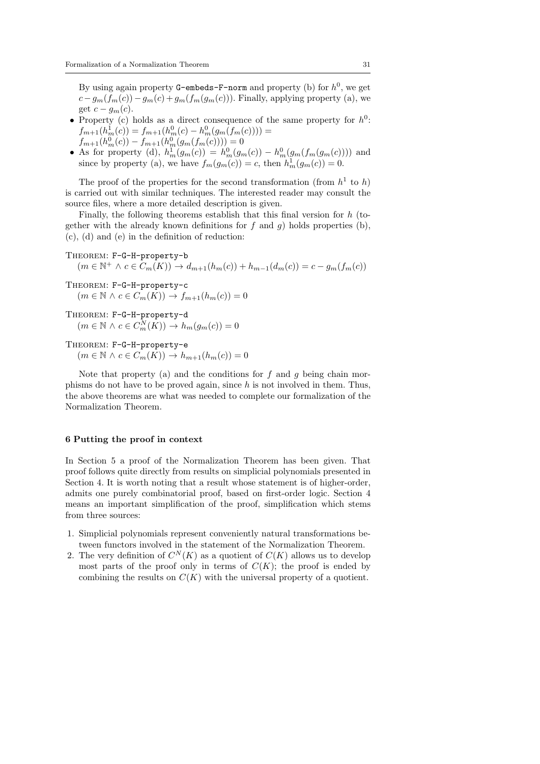By using again property  $G$ -embeds-F-norm and property (b) for  $h^0$ , we get  $c-g_m(f_m(c)) - g_m(c) + g_m(f_m(g_m(c)))$ . Finally, applying property (a), we get  $c - g_m(c)$ .

- Property (c) holds as a direct consequence of the same property for  $h^0$ :  $f_{m+1}(h_m^1(c)) = f_{m+1}(h_m^0(c) - h_m^0(g_m(f_m(c)))) =$
- $f_{m+1}(h_m^0(c)) f_{m+1}(h_m^0(g_m(f_m(c)))) = 0$ • As for property (d),  $h_m^1(g_m(c)) = h_m^0(g_m(c)) - h_m^0(g_m(f_m(g_m(c))))$  and since by property (a), we have  $f_m(g_m(c)) = c$ , then  $h_m^1(g_m(c)) = 0$ .

The proof of the properties for the second transformation (from  $h^1$  to h) is carried out with similar techniques. The interested reader may consult the source files, where a more detailed description is given.

Finally, the following theorems establish that this final version for  $h$  (together with the already known definitions for f and g) holds properties (b), (c), (d) and (e) in the definition of reduction:

THEOREM: F-G-H-property-b  $(m \in \mathbb{N}^+ \land c \in C_m(K)) \to d_{m+1}(h_m(c)) + h_{m-1}(d_m(c)) = c - g_m(f_m(c))$ 

Theorem: F-G-H-property-c  $(m \in \mathbb{N} \land c \in C_m(K)) \rightarrow f_{m+1}(h_m(c)) = 0$ 

THEOREM: F-G-H-property-d  $(m \in \mathbb{N} \land c \in C_m^N(K)) \to h_m(g_m(c)) = 0$ 

Theorem: F-G-H-property-e

 $(m \in \mathbb{N} \wedge c \in C_m(K)) \rightarrow h_{m+1}(h_m(c)) = 0$ 

Note that property (a) and the conditions for f and q being chain morphisms do not have to be proved again, since  $h$  is not involved in them. Thus, the above theorems are what was needed to complete our formalization of the Normalization Theorem.

#### 6 Putting the proof in context

In Section 5 a proof of the Normalization Theorem has been given. That proof follows quite directly from results on simplicial polynomials presented in Section 4. It is worth noting that a result whose statement is of higher-order, admits one purely combinatorial proof, based on first-order logic. Section 4 means an important simplification of the proof, simplification which stems from three sources:

- 1. Simplicial polynomials represent conveniently natural transformations between functors involved in the statement of the Normalization Theorem.
- 2. The very definition of  $C^N(K)$  as a quotient of  $C(K)$  allows us to develop most parts of the proof only in terms of  $C(K)$ ; the proof is ended by combining the results on  $C(K)$  with the universal property of a quotient.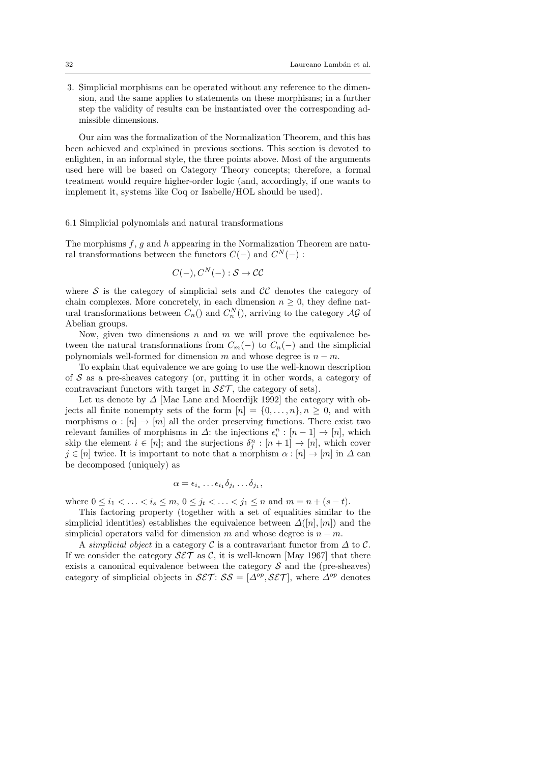3. Simplicial morphisms can be operated without any reference to the dimension, and the same applies to statements on these morphisms; in a further step the validity of results can be instantiated over the corresponding admissible dimensions.

Our aim was the formalization of the Normalization Theorem, and this has been achieved and explained in previous sections. This section is devoted to enlighten, in an informal style, the three points above. Most of the arguments used here will be based on Category Theory concepts; therefore, a formal treatment would require higher-order logic (and, accordingly, if one wants to implement it, systems like Coq or Isabelle/HOL should be used).

#### 6.1 Simplicial polynomials and natural transformations

The morphisms  $f, g$  and  $h$  appearing in the Normalization Theorem are natural transformations between the functors  $C(-)$  and  $C^{N}(-)$ :

$$
C(-), C^N(-): \mathcal{S} \to \mathcal{CC}
$$

where  $S$  is the category of simplicial sets and  $\mathcal{CC}$  denotes the category of chain complexes. More concretely, in each dimension  $n \geq 0$ , they define natural transformations between  $C_n()$  and  $C_n^N()$ , arriving to the category  $\mathcal{AG}$  of Abelian groups.

Now, given two dimensions  $n$  and  $m$  we will prove the equivalence between the natural transformations from  $C_m(-)$  to  $C_n(-)$  and the simplicial polynomials well-formed for dimension m and whose degree is  $n - m$ .

To explain that equivalence we are going to use the well-known description of  $S$  as a pre-sheaves category (or, putting it in other words, a category of contravariant functors with target in  $\mathcal{S}\mathcal{E}\mathcal{T}$ , the category of sets).

Let us denote by  $\Delta$  [Mac Lane and Moerdijk 1992] the category with objects all finite nonempty sets of the form  $[n] = \{0, \ldots, n\}, n \geq 0$ , and with morphisms  $\alpha : [n] \to [m]$  all the order preserving functions. There exist two relevant families of morphisms in  $\Delta$ : the injections  $\epsilon_i^n : [n-1] \to [n]$ , which skip the element  $i \in [n]$ ; and the surjections  $\delta_j^n : [n+1] \to [n]$ , which cover  $j \in [n]$  twice. It is important to note that a morphism  $\alpha : [n] \to [m]$  in  $\Delta$  can be decomposed (uniquely) as

$$
\alpha = \epsilon_{i_s} \dots \epsilon_{i_1} \delta_{j_t} \dots \delta_{j_1},
$$

where  $0 \le i_1 < \ldots < i_s \le m$ ,  $0 \le j_t < \ldots < j_1 \le n$  and  $m = n + (s - t)$ .

This factoring property (together with a set of equalities similar to the simplicial identities) establishes the equivalence between  $\Delta([n],[m])$  and the simplicial operators valid for dimension m and whose degree is  $n - m$ .

A simplicial object in a category C is a contravariant functor from  $\Delta$  to C. If we consider the category  $\mathcal{SET}$  as C, it is well-known [May 1967] that there exists a canonical equivalence between the category  $\mathcal S$  and the (pre-sheaves) category of simplicial objects in  $\mathcal{SET}$ :  $\mathcal{SS} = [\Delta^{op}, \mathcal{SET}]$ , where  $\Delta^{op}$  denotes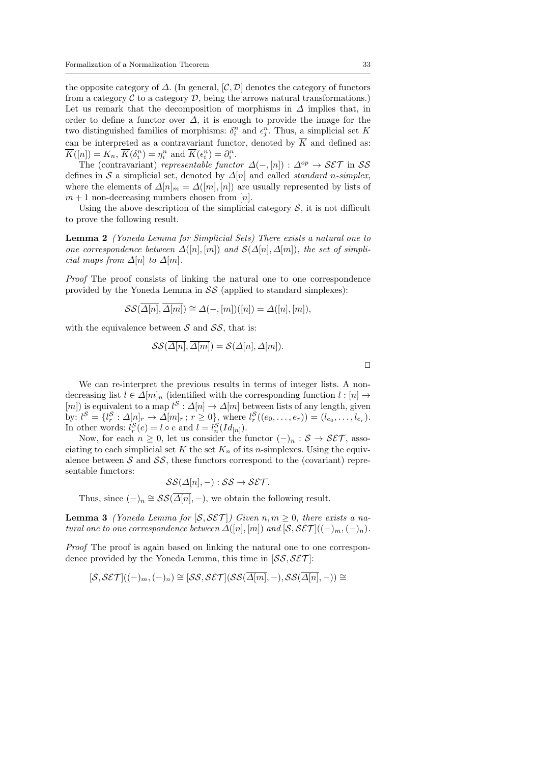the opposite category of  $\Delta$ . (In general,  $[\mathcal{C}, \mathcal{D}]$  denotes the category of functors from a category  $\mathcal C$  to a category  $\mathcal D$ , being the arrows natural transformations.) Let us remark that the decomposition of morphisms in  $\Delta$  implies that, in order to define a functor over  $\Delta$ , it is enough to provide the image for the two distinguished families of morphisms:  $\delta_i^n$  and  $\epsilon_j^n$ . Thus, a simplicial set K can be interpreted as a contravariant functor, denoted by  $\overline{K}$  and defined as:  $\overline{K}([n]) = K_n, \, \overline{K}(\delta_i^n) = \eta_i^n \text{ and } \overline{K}(\epsilon_i^n) = \partial_i^n.$ 

The (contravariant) representable functor  $\Delta(-, [n]) : \Delta^{op} \to \mathcal{SET}$  in SS defines in S a simplicial set, denoted by  $\Delta[n]$  and called *standard n-simplex*, where the elements of  $\Delta[n]_m = \Delta([m], [n])$  are usually represented by lists of  $m + 1$  non-decreasing numbers chosen from [n].

Using the above description of the simplicial category  $S$ , it is not difficult to prove the following result.

Lemma 2 (Yoneda Lemma for Simplicial Sets) There exists a natural one to one correspondence between  $\Delta([n],[m])$  and  $\mathcal{S}(\Delta[n],\Delta[m])$ , the set of simplicial maps from  $\Delta[n]$  to  $\Delta[m]$ .

Proof The proof consists of linking the natural one to one correspondence provided by the Yoneda Lemma in  $SS$  (applied to standard simplexes):

$$
\mathcal{SS}(\overline{\Delta[n]}, \overline{\Delta[m]}) \cong \Delta(-, [m])([n]) = \Delta([n], [m]),
$$

with the equivalence between  $S$  and  $SS$ , that is:

$$
\mathcal{SS}(\overline{\Delta[n]}, \overline{\Delta[m]}) = \mathcal{S}(\Delta[n], \Delta[m]).
$$

We can re-interpret the previous results in terms of integer lists. A nondecreasing list  $l \in \Delta[m]_n$  (identified with the corresponding function  $l : [n] \rightarrow$ [m]) is equivalent to a map  $l^S : \Delta[n] \to \Delta[m]$  between lists of any length, given by:  $l^{\mathcal{S}} = \{l_r^{\mathcal{S}} : \Delta[n]_r \to \Delta[m]_r; r \ge 0\}$ , where  $l_r^{\mathcal{S}}((e_0, \ldots, e_r)) = (l_{e_0}, \ldots, l_{e_r}).$ In other words:  $l_r^{\mathcal{S}}(e) = l \circ e$  and  $l = l_n^{\mathcal{S}}(Id_{[n]})$ .

Now, for each  $n \geq 0$ , let us consider the functor  $(-)_{n} : S \rightarrow \mathcal{S} \mathcal{E} \mathcal{T}$ , associating to each simplicial set K the set  $K_n$  of its n-simplexes. Using the equivalence between  $\mathcal S$  and  $\mathcal S\mathcal S$ , these functors correspond to the (covariant) representable functors:

$$
\mathcal{SS}(\overline{\varDelta[n]},-): \mathcal{SS}\rightarrow \mathcal{SET}.
$$

Thus, since  $(-)_n \cong \mathcal{SS}(\overline{\Delta[n]}, -)$ , we obtain the following result.

**Lemma 3** (Yoneda Lemma for  $[\mathcal{S}, \mathcal{S} \mathcal{E} \mathcal{T}]$ ) Given  $n, m \geq 0$ , there exists a natural one to one correspondence between  $\Delta([n],[m])$  and  $[\mathcal{S},\mathcal{S}\mathcal{E}\mathcal{T}]((-)_m,(-)_n).$ 

Proof The proof is again based on linking the natural one to one correspondence provided by the Yoneda Lemma, this time in  $[S\mathcal{S}, \mathcal{S}\mathcal{E}\mathcal{T}]$ :

$$
[\mathcal{S},\mathcal{SET}]((-)_m,(-)_n)\cong [\mathcal{SS},\mathcal{SET}](\mathcal{SS}(\overline{\Delta[m]},-),\mathcal{SS}(\overline{\Delta[n]},-))\cong
$$

 $\Box$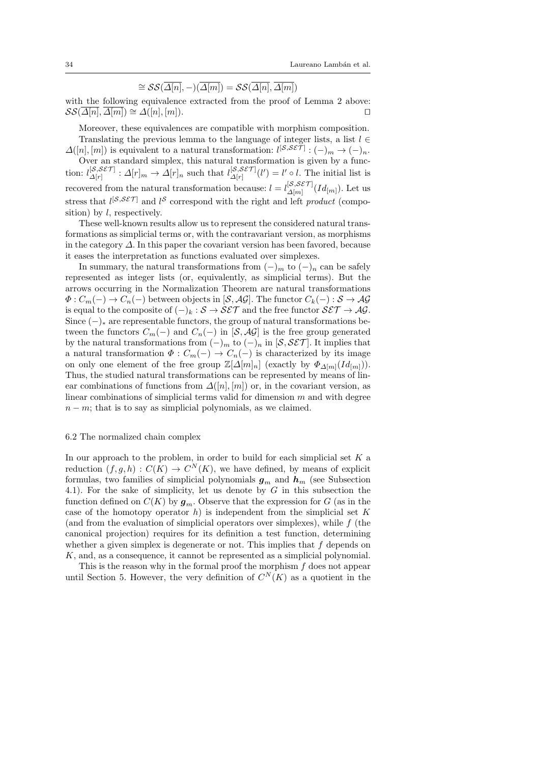$$
\cong \mathcal{SS}(\overline{\Delta[n]}, -)(\overline{\Delta[m]}) = \mathcal{SS}(\overline{\Delta[n]}, \overline{\Delta[m]})
$$

with the following equivalence extracted from the proof of Lemma 2 above:  $\mathcal{SS}(\Delta[n], \Delta[m]) \cong \Delta([n], [m]).$ 

Moreover, these equivalences are compatible with morphism composition. Translating the previous lemma to the language of integer lists, a list  $l \in$  $\Delta([n],[m])$  is equivalent to a natural transformation:  $l^{[\mathcal{S},\mathcal{S}\mathcal{E}\mathcal{T}]}: (-)_m \to (-)_n$ .

Over an standard simplex, this natural transformation is given by a function:  $l_{A[x]}^{[S,SET]}$  $\Delta[r] : \Delta[r]_m \to \Delta[r]_n$  such that  $l_{\Delta[r]}^{[S,SET]}$  $\Delta[r]^{[S,SE^{T}]}(l^{\prime})=l^{\prime}\circ l.$  The initial list is recovered from the natural transformation because:  $l = l_{A[m]}^{[S, SET]}$  $\Delta[m]^{O, \mathcal{S} \mathcal{L} I}$  [ $Id_{[m]}$ ). Let us stress that  $l^{[S,SET]}$  and  $l^S$  correspond with the right and left *product* (composition) by  $l$ , respectively.

These well-known results allow us to represent the considered natural transformations as simplicial terms or, with the contravariant version, as morphisms in the category  $\Delta$ . In this paper the covariant version has been favored, because it eases the interpretation as functions evaluated over simplexes.

In summary, the natural transformations from  $(-)_m$  to  $(-)_n$  can be safely represented as integer lists (or, equivalently, as simplicial terms). But the arrows occurring in the Normalization Theorem are natural transformations  $\Phi: C_m(-) \to C_n(-)$  between objects in  $[\mathcal{S}, \mathcal{AG}]$ . The functor  $C_k(-): \mathcal{S} \to \mathcal{AG}$ is equal to the composite of  $(-)_k : S \to \mathcal{SET}$  and the free functor  $\mathcal{SET} \to \mathcal{AG}$ . Since  $(-)_*$  are representable functors, the group of natural transformations between the functors  $C_m(-)$  and  $C_n(-)$  in  $[\mathcal{S}, \mathcal{AG}]$  is the free group generated by the natural transformations from  $(-)$ <sub>m</sub> to  $(-)$ <sub>n</sub> in  $[\mathcal{S}, \mathcal{S} \mathcal{E} \mathcal{T}]$ . It implies that a natural transformation  $\Phi: C_m(-) \to C_n(-)$  is characterized by its image on only one element of the free group  $\mathbb{Z}[\Delta[m]_n]$  (exactly by  $\Phi_{\Delta[m]}(Id_{[m]})).$ Thus, the studied natural transformations can be represented by means of linear combinations of functions from  $\Delta([n],[m])$  or, in the covariant version, as linear combinations of simplicial terms valid for dimension  $m$  and with degree  $n - m$ ; that is to say as simplicial polynomials, as we claimed.

#### 6.2 The normalized chain complex

In our approach to the problem, in order to build for each simplicial set  $K$  a reduction  $(f, g, h) : C(K) \to C^{N}(K)$ , we have defined, by means of explicit formulas, two families of simplicial polynomials  $g_m$  and  $h_m$  (see Subsection 4.1). For the sake of simplicity, let us denote by G in this subsection the function defined on  $C(K)$  by  $g_m$ . Observe that the expression for G (as in the case of the homotopy operator  $h$ ) is independent from the simplicial set  $K$ (and from the evaluation of simplicial operators over simplexes), while  $f$  (the canonical projection) requires for its definition a test function, determining whether a given simplex is degenerate or not. This implies that  $f$  depends on K, and, as a consequence, it cannot be represented as a simplicial polynomial.

This is the reason why in the formal proof the morphism  $f$  does not appear until Section 5. However, the very definition of  $C^N(K)$  as a quotient in the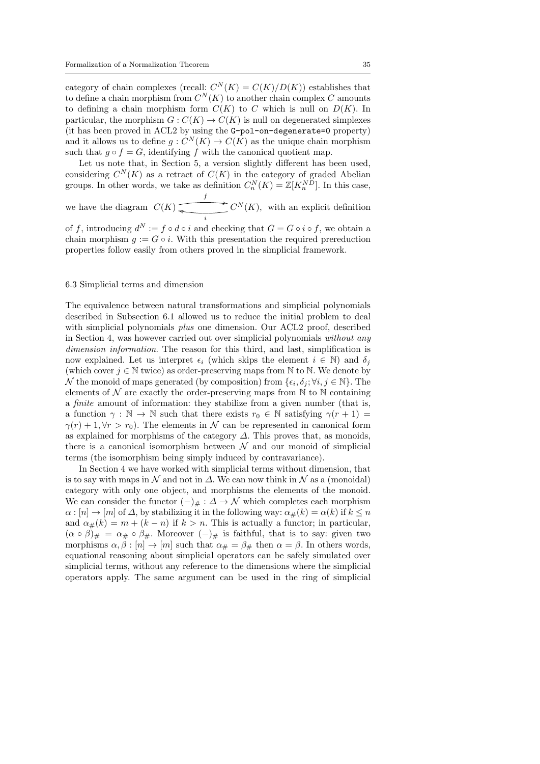category of chain complexes (recall:  $C^{N}(K) = C(K)/D(K)$ ) establishes that to define a chain morphism from  $C^N(K)$  to another chain complex C amounts to defining a chain morphism form  $C(K)$  to C which is null on  $D(K)$ . In particular, the morphism  $G: C(K) \to C(K)$  is null on degenerated simplexes (it has been proved in ACL2 by using the G-pol-on-degenerate=0 property) and it allows us to define  $g: C^N(K) \to C(K)$  as the unique chain morphism such that  $q \circ f = G$ , identifying f with the canonical quotient map.

Let us note that, in Section 5, a version slightly different has been used, considering  $C^N(K)$  as a retract of  $C(K)$  in the category of graded Abelian groups. In other words, we take as definition  $C_n^N(K) = \mathbb{Z}[K_n^{ND}]$ . In this case,

we have the diagram  $C(K)$  $\stackrel{f}{\longrightarrow} C^N(K),$  $\sum_i C^N(K)$ , with an explicit definition

of f, introducing  $d^N := f \circ d \circ i$  and checking that  $G = G \circ i \circ f$ , we obtain a chain morphism  $q := G \circ i$ . With this presentation the required prereduction properties follow easily from others proved in the simplicial framework.

## 6.3 Simplicial terms and dimension

The equivalence between natural transformations and simplicial polynomials described in Subsection 6.1 allowed us to reduce the initial problem to deal with simplicial polynomials *plus* one dimension. Our ACL2 proof, described in Section 4, was however carried out over simplicial polynomials without any dimension information. The reason for this third, and last, simplification is now explained. Let us interpret  $\epsilon_i$  (which skips the element  $i \in \mathbb{N}$ ) and  $\delta_i$ (which cover  $j \in \mathbb{N}$  twice) as order-preserving maps from  $\mathbb{N}$  to  $\mathbb{N}$ . We denote by N the monoid of maps generated (by composition) from  $\{\epsilon_i, \delta_j; \forall i, j \in \mathbb{N}\}\.$  The elements of  $\mathcal N$  are exactly the order-preserving maps from  $\mathbb N$  to  $\mathbb N$  containing a finite amount of information: they stabilize from a given number (that is, a function  $\gamma : \mathbb{N} \to \mathbb{N}$  such that there exists  $r_0 \in \mathbb{N}$  satisfying  $\gamma(r+1) =$  $\gamma(r) + 1, \forall r > r_0$ . The elements in N can be represented in canonical form as explained for morphisms of the category  $\Delta$ . This proves that, as monoids, there is a canonical isomorphism between  $\mathcal N$  and our monoid of simplicial terms (the isomorphism being simply induced by contravariance).

In Section 4 we have worked with simplicial terms without dimension, that is to say with maps in  $N$  and not in  $\Delta$ . We can now think in  $N$  as a (monoidal) category with only one object, and morphisms the elements of the monoid. We can consider the functor  $(-)_\# : \Delta \to \mathcal{N}$  which completes each morphism  $\alpha : [n] \to [m]$  of  $\Delta$ , by stabilizing it in the following way:  $\alpha_{\#}(k) = \alpha(k)$  if  $k \leq n$ and  $\alpha_{\#}(k) = m + (k - n)$  if  $k > n$ . This is actually a functor; in particular,  $(\alpha \circ \beta)_{\#} = \alpha_{\#} \circ \beta_{\#}$ . Moreover  $(-)_{\#}$  is faithful, that is to say: given two morphisms  $\alpha, \beta : [n] \to [m]$  such that  $\alpha_{\#} = \beta_{\#}$  then  $\alpha = \beta$ . In others words, equational reasoning about simplicial operators can be safely simulated over simplicial terms, without any reference to the dimensions where the simplicial operators apply. The same argument can be used in the ring of simplicial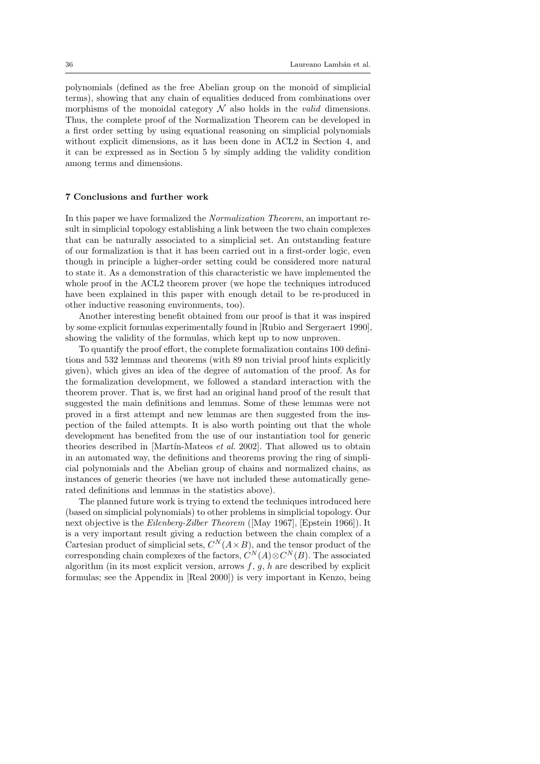polynomials (defined as the free Abelian group on the monoid of simplicial terms), showing that any chain of equalities deduced from combinations over morphisms of the monoidal category  $\mathcal N$  also holds in the *valid* dimensions. Thus, the complete proof of the Normalization Theorem can be developed in a first order setting by using equational reasoning on simplicial polynomials without explicit dimensions, as it has been done in ACL2 in Section 4, and it can be expressed as in Section 5 by simply adding the validity condition among terms and dimensions.

## 7 Conclusions and further work

In this paper we have formalized the Normalization Theorem, an important result in simplicial topology establishing a link between the two chain complexes that can be naturally associated to a simplicial set. An outstanding feature of our formalization is that it has been carried out in a first-order logic, even though in principle a higher-order setting could be considered more natural to state it. As a demonstration of this characteristic we have implemented the whole proof in the ACL2 theorem prover (we hope the techniques introduced have been explained in this paper with enough detail to be re-produced in other inductive reasoning environments, too).

Another interesting benefit obtained from our proof is that it was inspired by some explicit formulas experimentally found in [Rubio and Sergeraert 1990], showing the validity of the formulas, which kept up to now unproven.

To quantify the proof effort, the complete formalization contains 100 definitions and 532 lemmas and theorems (with 89 non trivial proof hints explicitly given), which gives an idea of the degree of automation of the proof. As for the formalization development, we followed a standard interaction with the theorem prover. That is, we first had an original hand proof of the result that suggested the main definitions and lemmas. Some of these lemmas were not proved in a first attempt and new lemmas are then suggested from the inspection of the failed attempts. It is also worth pointing out that the whole development has benefited from the use of our instantiation tool for generic theories described in [Martín-Mateos  $et$  al. 2002]. That allowed us to obtain in an automated way, the definitions and theorems proving the ring of simplicial polynomials and the Abelian group of chains and normalized chains, as instances of generic theories (we have not included these automatically generated definitions and lemmas in the statistics above).

The planned future work is trying to extend the techniques introduced here (based on simplicial polynomials) to other problems in simplicial topology. Our next objective is the Eilenberg-Zilber Theorem ([May 1967], [Epstein 1966]). It is a very important result giving a reduction between the chain complex of a Cartesian product of simplicial sets,  $C^{N}(A \times B)$ , and the tensor product of the corresponding chain complexes of the factors,  $C^{N}(A) \otimes C^{N}(B)$ . The associated algorithm (in its most explicit version, arrows  $f, g, h$  are described by explicit formulas; see the Appendix in [Real 2000]) is very important in Kenzo, being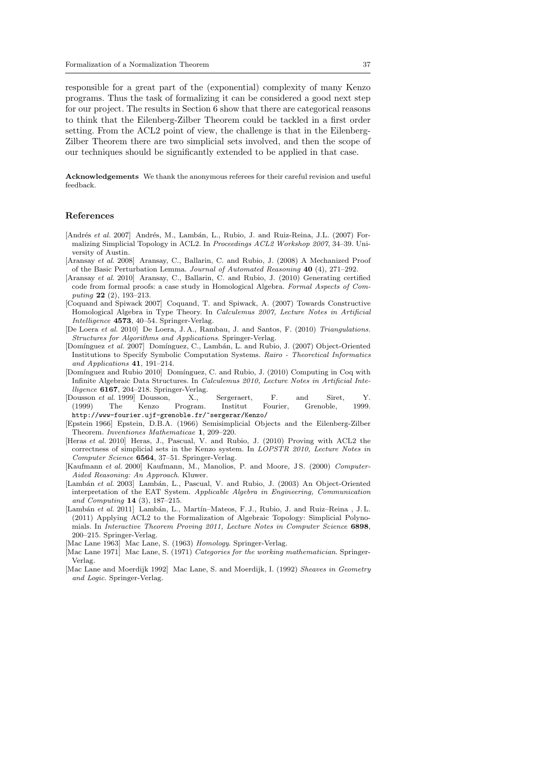responsible for a great part of the (exponential) complexity of many Kenzo programs. Thus the task of formalizing it can be considered a good next step for our project. The results in Section 6 show that there are categorical reasons to think that the Eilenberg-Zilber Theorem could be tackled in a first order setting. From the ACL2 point of view, the challenge is that in the Eilenberg-Zilber Theorem there are two simplicial sets involved, and then the scope of our techniques should be significantly extended to be applied in that case.

Acknowledgements We thank the anonymous referees for their careful revision and useful feedback.

#### References

- [Andrés et al. 2007] Andrés, M., Lambán, L., Rubio, J. and Ruiz-Reina, J.L. (2007) Formalizing Simplicial Topology in ACL2. In Proceedings ACL2 Workshop 2007, 34–39. University of Austin.
- [Aransay et al. 2008] Aransay, C., Ballarin, C. and Rubio, J. (2008) A Mechanized Proof of the Basic Perturbation Lemma. Journal of Automated Reasoning 40 (4), 271–292.
- [Aransay et al. 2010] Aransay, C., Ballarin, C. and Rubio, J. (2010) Generating certified code from formal proofs: a case study in Homological Algebra. Formal Aspects of Computing 22 (2), 193–213.
- [Coquand and Spiwack 2007] Coquand, T. and Spiwack, A. (2007) Towards Constructive Homological Algebra in Type Theory. In Calculemus 2007, Lecture Notes in Artificial Intelligence 4573, 40–54. Springer-Verlag.
- [De Loera et al. 2010] De Loera, J. A., Rambau, J. and Santos, F. (2010) Triangulations. Structures for Algorithms and Applications. Springer-Verlag.
- [Domínguez et al. 2007] Domínguez, C., Lambán, L. and Rubio, J. (2007) Object-Oriented Institutions to Specify Symbolic Computation Systems. Rairo - Theoretical Informatics and Applications 41, 191–214.
- [Domínguez and Rubio 2010] Domínguez, C. and Rubio, J. (2010) Computing in Coq with Infinite Algebraic Data Structures. In Calculemus 2010, Lecture Notes in Artificial Intelligence 6167, 204–218. Springer-Verlag.
- [Dousson et al. 1999] Dousson, X., Sergeraert, F. and Siret, Y. (1999) The Kenzo Program. Institut Fourier, Grenoble, 1999. http://www-fourier.ujf-grenoble.fr/~sergerar/Kenzo/
- [Epstein 1966] Epstein, D.B.A. (1966) Semisimplicial Objects and the Eilenberg-Zilber Theorem. Inventiones Mathematicae 1, 209–220.
- [Heras et al. 2010] Heras, J., Pascual, V. and Rubio, J. (2010) Proving with ACL2 the correctness of simplicial sets in the Kenzo system. In LOPSTR 2010, Lecture Notes in Computer Science 6564, 37–51. Springer-Verlag.
- [Kaufmann et al. 2000] Kaufmann, M., Manolios, P. and Moore, J.S. (2000) Computer-Aided Reasoning: An Approach. Kluwer.
- [Lambán et al. 2003] Lambán, L., Pascual, V. and Rubio, J. (2003) An Object-Oriented interpretation of the EAT System. Applicable Algebra in Engineering, Communication and Computing 14 (3), 187–215.
- [Lambán et al. 2011] Lambán, L., Martín–Mateos, F. J., Rubio, J. and Ruiz–Reina, J. L. (2011) Applying ACL2 to the Formalization of Algebraic Topology: Simplicial Polynomials. In Interactive Theorem Proving 2011, Lecture Notes in Computer Science 6898, 200–215. Springer-Verlag.
- [Mac Lane 1963] Mac Lane, S. (1963) Homology. Springer-Verlag.
- [Mac Lane 1971] Mac Lane, S. (1971) Categories for the working mathematician. Springer-Verlag.
- [Mac Lane and Moerdijk 1992] Mac Lane, S. and Moerdijk, I. (1992) Sheaves in Geometry and Logic. Springer-Verlag.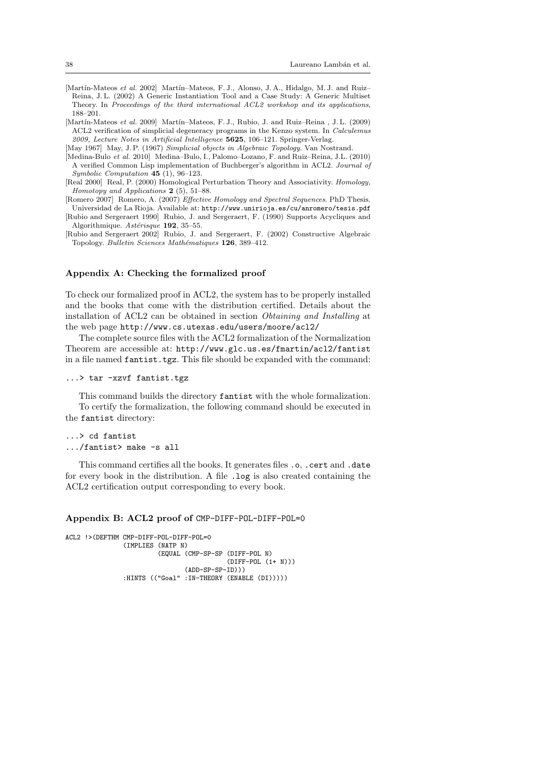- [Martín-Mateos et al. 2002] Martín-Mateos, F. J., Alonso, J. A., Hidalgo, M. J. and Ruiz– Reina, J. L. (2002) A Generic Instantiation Tool and a Case Study: A Generic Multiset Theory. In Proceedings of the third international ACL2 workshop and its applications, 188–201.
- [Martín-Mateos et al. 2009] Martín-Mateos, F. J., Rubio, J. and Ruiz–Reina, J. L. (2009) ACL2 verification of simplicial degeneracy programs in the Kenzo system. In Calculemus 2009, Lecture Notes in Artificial Intelligence 5625, 106–121. Springer-Verlag.

[May 1967] May, J. P. (1967) Simplicial objects in Algebraic Topology. Van Nostrand.

[Medina-Bulo et al. 2010] Medina–Bulo, I., Palomo–Lozano, F. and Ruiz–Reina, J.L. (2010) A verified Common Lisp implementation of Buchberger's algorithm in ACL2. Journal of Symbolic Computation 45 (1), 96–123.

[Real 2000] Real, P. (2000) Homological Perturbation Theory and Associativity. Homology, Homotopy and Applications 2 (5), 51–88.

[Romero 2007] Romero, A. (2007) Effective Homology and Spectral Sequences. PhD Thesis.

- Universidad de La Rioja. Available at: http://www.unirioja.es/cu/anromero/tesis.pdf [Rubio and Sergeraert 1990] Rubio, J. and Sergeraert, F. (1990) Supports Acycliques and Algorithmique. Astérisque 192, 35-55.
- [Rubio and Sergeraert 2002] Rubio, J. and Sergeraert, F. (2002) Constructive Algebraic Topology. Bulletin Sciences Mathématiques 126, 389-412.

## Appendix A: Checking the formalized proof

To check our formalized proof in ACL2, the system has to be properly installed and the books that come with the distribution certified. Details about the installation of ACL2 can be obtained in section Obtaining and Installing at the web page http://www.cs.utexas.edu/users/moore/acl2/

The complete source files with the ACL2 formalization of the Normalization Theorem are accessible at: http://www.glc.us.es/fmartin/acl2/fantist in a file named fantist.tgz. This file should be expanded with the command:

#### ...> tar -xzvf fantist.tgz

This command builds the directory fantist with the whole formalization. To certify the formalization, the following command should be executed in the fantist directory:

```
...> cd fantist
.../fantist> make -s all
```
This command certifies all the books. It generates files .o, .cert and .date for every book in the distribution. A file .log is also created containing the ACL2 certification output corresponding to every book.

#### Appendix B: ACL2 proof of CMP-DIFF-POL-DIFF-POL=0

```
ACL2 !>(DEFTHM CMP-DIFF-POL-DIFF-POL=0
               (IMPLIES (NATP N)
                        (EQUAL (CMP-SP-SP (DIFF-POL N)
                                           (DIFF-POL (1+ N)))
                                (ADD-SP-SP-ID)))
               :HINTS (("Goal" :IN-THEORY (ENABLE (DI)))))
```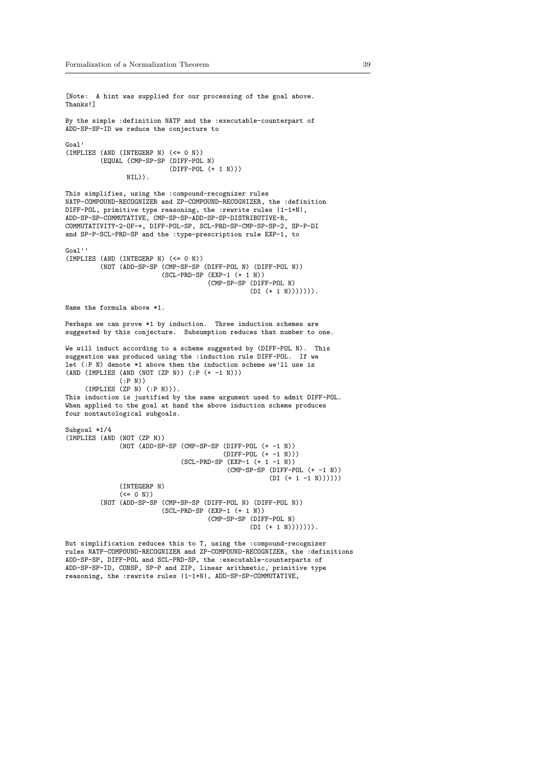[Note: A hint was supplied for our processing of the goal above. Thanks!] By the simple :definition NATP and the :executable-counterpart of ADD-SP-SP-ID we reduce the conjecture to Goal' (IMPLIES (AND (INTEGERP N) (<= 0 N)) (EQUAL (CMP-SP-SP (DIFF-POL N) (DIFF-POL (+ 1 N))) NIL)). This simplifies, using the :compound-recognizer rules NATP-COMPOUND-RECOGNIZER and ZP-COMPOUND-RECOGNIZER, the :definition DIFF-POL, primitive type reasoning, the :rewrite rules |1-1+N|, ADD-SP-SP-COMMUTATIVE, CMP-SP-SP-ADD-SP-SP-DISTRIBUTIVE-R, COMMUTATIVITY-2-OF-+, DIFF-POL-SP, SCL-PRD-SP-CMP-SP-SP-2, SP-P-DI and SP-P-SCL-PRD-SP and the :type-prescription rule EXP-1, to Goal'' (IMPLIES (AND (INTEGERP N) (<= 0 N)) (NOT (ADD-SP-SP (CMP-SP-SP (DIFF-POL N) (DIFF-POL N)) (SCL-PRD-SP (EXP-1 (+ 1 N)) (CMP-SP-SP (DIFF-POL N)  $(DI (+ 1 N)))))$ . Name the formula above \*1. Perhaps we can prove \*1 by induction. Three induction schemes are suggested by this conjecture. Subsumption reduces that number to one. We will induct according to a scheme suggested by (DIFF-POL N). This suggestion was produced using the :induction rule DIFF-POL. If we let  $($ :P N) denote  $*1$  above then the induction scheme we'll use is (AND (IMPLIES (AND (NOT (ZP N)) (:P (+ -1 N)))  $(.P N))$ (IMPLIES (ZP N) (:P N))). This induction is justified by the same argument used to admit DIFF-POL. When applied to the goal at hand the above induction scheme produces four nontautological subgoals. Subgoal \*1/4 (IMPLIES (AND (NOT (ZP N)) (NOT (ADD-SP-SP (CMP-SP-SP (DIFF-POL (+ -1 N))  $(DIFF-POL (+ -1 N)))$  $(SCL-PRD-SP (EXP-1 (+ 1 -1 N)))$ (CMP-SP-SP (DIFF-POL (+ -1 N))  $(DI (+ 1 -1 N)))))$ (INTEGERP N)  $(<= 0 N)$ (NOT (ADD-SP-SP (CMP-SP-SP (DIFF-POL N) (DIFF-POL N)) (SCL-PRD-SP (EXP-1 (+ 1 N)) (CMP-SP-SP (DIFF-POL N)  $(DI (+ 1 N)))))$ . But simplification reduces this to T, using the :compound-recognizer

rules NATP-COMPOUND-RECOGNIZER and ZP-COMPOUND-RECOGNIZER, the :definitions ADD-SP-SP, DIFF-POL and SCL-PRD-SP, the :executable-counterparts of ADD-SP-SP-ID, CONSP, SP-P and ZIP, linear arithmetic, primitive type reasoning, the :rewrite rules |1-1+N|, ADD-SP-SP-COMMUTATIVE,